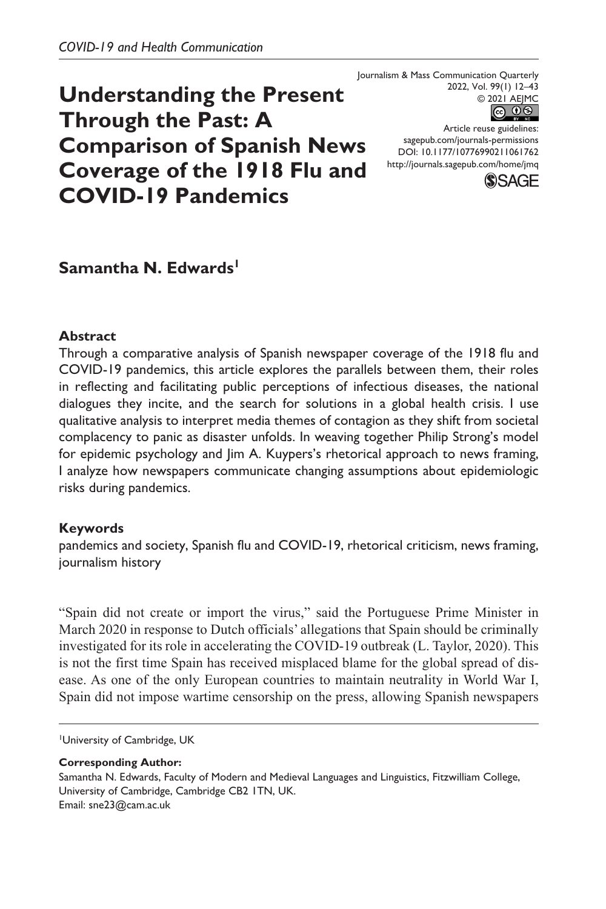# **Understanding the Present Through the Past: A Comparison of Spanish News Coverage of the 1918 Flu and COVID-19 Pandemics**

Journalism & Mass Communication Quarterly 2022, Vol. 99(1) 12–43



DOI: 10.1177/10776990211061762 Article reuse guidelines: [sagepub.com/journals-permissions](https://us.sagepub.com/en-us/journals-permissions) <http://journals.sagepub.com/home/jmq>



# Samantha N. Edwards<sup>1</sup>

#### **Abstract**

Through a comparative analysis of Spanish newspaper coverage of the 1918 flu and COVID-19 pandemics, this article explores the parallels between them, their roles in reflecting and facilitating public perceptions of infectious diseases, the national dialogues they incite, and the search for solutions in a global health crisis. I use qualitative analysis to interpret media themes of contagion as they shift from societal complacency to panic as disaster unfolds. In weaving together Philip Strong's model for epidemic psychology and Jim A. Kuypers's rhetorical approach to news framing, I analyze how newspapers communicate changing assumptions about epidemiologic risks during pandemics.

#### **Keywords**

pandemics and society, Spanish flu and COVID-19, rhetorical criticism, news framing, journalism history

"Spain did not create or import the virus," said the Portuguese Prime Minister in March 2020 in response to Dutch officials' allegations that Spain should be criminally investigated for its role in accelerating the COVID-19 outbreak (L. Taylor, 2020). This is not the first time Spain has received misplaced blame for the global spread of disease. As one of the only European countries to maintain neutrality in World War I, Spain did not impose wartime censorship on the press, allowing Spanish newspapers

University of Cambridge, UK

**Corresponding Author:**

Samantha N. Edwards, Faculty of Modern and Medieval Languages and Linguistics, Fitzwilliam College, University of Cambridge, Cambridge CB2 1TN, UK. Email: [sne23@cam.ac.uk](mailto:sne23@cam.ac.uk)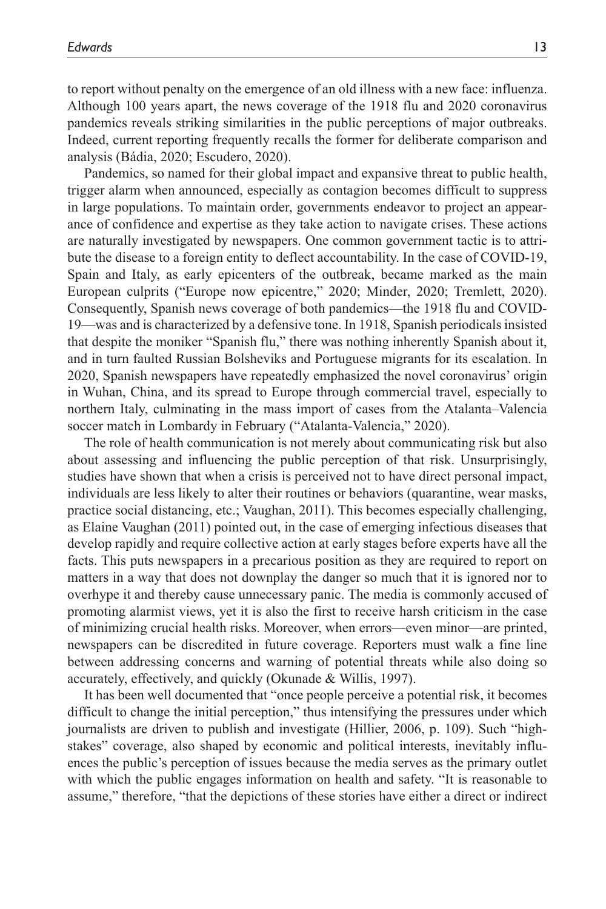to report without penalty on the emergence of an old illness with a new face: influenza. Although 100 years apart, the news coverage of the 1918 flu and 2020 coronavirus pandemics reveals striking similarities in the public perceptions of major outbreaks. Indeed, current reporting frequently recalls the former for deliberate comparison and analysis (Bádia, 2020; Escudero, 2020).

Pandemics, so named for their global impact and expansive threat to public health, trigger alarm when announced, especially as contagion becomes difficult to suppress in large populations. To maintain order, governments endeavor to project an appearance of confidence and expertise as they take action to navigate crises. These actions are naturally investigated by newspapers. One common government tactic is to attribute the disease to a foreign entity to deflect accountability. In the case of COVID-19, Spain and Italy, as early epicenters of the outbreak, became marked as the main European culprits ("Europe now epicentre," 2020; Minder, 2020; Tremlett, 2020). Consequently, Spanish news coverage of both pandemics—the 1918 flu and COVID-19—was and is characterized by a defensive tone. In 1918, Spanish periodicals insisted that despite the moniker "Spanish flu," there was nothing inherently Spanish about it, and in turn faulted Russian Bolsheviks and Portuguese migrants for its escalation. In 2020, Spanish newspapers have repeatedly emphasized the novel coronavirus' origin in Wuhan, China, and its spread to Europe through commercial travel, especially to northern Italy, culminating in the mass import of cases from the Atalanta–Valencia soccer match in Lombardy in February ("Atalanta-Valencia," 2020).

The role of health communication is not merely about communicating risk but also about assessing and influencing the public perception of that risk. Unsurprisingly, studies have shown that when a crisis is perceived not to have direct personal impact, individuals are less likely to alter their routines or behaviors (quarantine, wear masks, practice social distancing, etc.; Vaughan, 2011). This becomes especially challenging, as Elaine Vaughan (2011) pointed out, in the case of emerging infectious diseases that develop rapidly and require collective action at early stages before experts have all the facts. This puts newspapers in a precarious position as they are required to report on matters in a way that does not downplay the danger so much that it is ignored nor to overhype it and thereby cause unnecessary panic. The media is commonly accused of promoting alarmist views, yet it is also the first to receive harsh criticism in the case of minimizing crucial health risks. Moreover, when errors—even minor—are printed, newspapers can be discredited in future coverage. Reporters must walk a fine line between addressing concerns and warning of potential threats while also doing so accurately, effectively, and quickly (Okunade & Willis, 1997).

It has been well documented that "once people perceive a potential risk, it becomes difficult to change the initial perception," thus intensifying the pressures under which journalists are driven to publish and investigate (Hillier, 2006, p. 109). Such "highstakes" coverage, also shaped by economic and political interests, inevitably influences the public's perception of issues because the media serves as the primary outlet with which the public engages information on health and safety. "It is reasonable to assume," therefore, "that the depictions of these stories have either a direct or indirect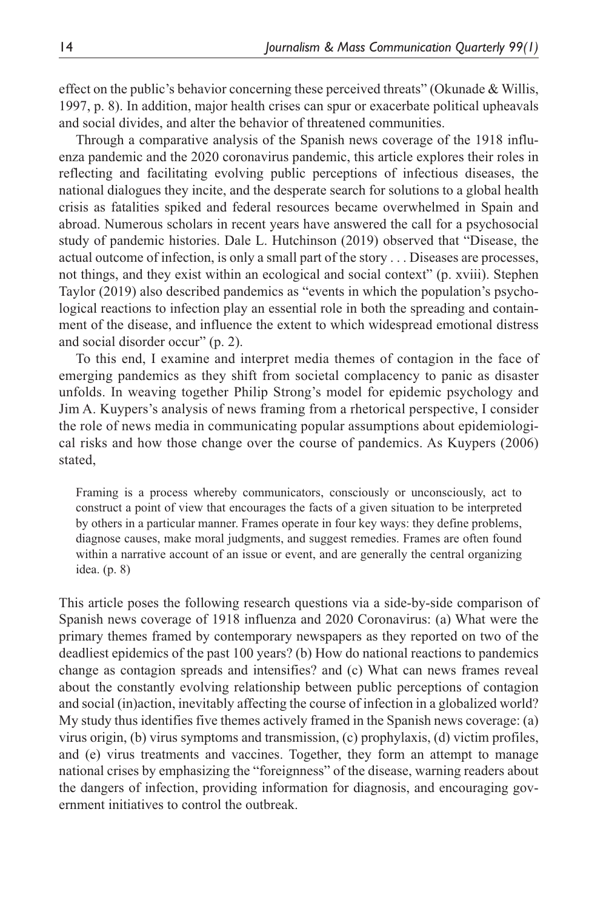effect on the public's behavior concerning these perceived threats" (Okunade & Willis, 1997, p. 8). In addition, major health crises can spur or exacerbate political upheavals and social divides, and alter the behavior of threatened communities.

Through a comparative analysis of the Spanish news coverage of the 1918 influenza pandemic and the 2020 coronavirus pandemic, this article explores their roles in reflecting and facilitating evolving public perceptions of infectious diseases, the national dialogues they incite, and the desperate search for solutions to a global health crisis as fatalities spiked and federal resources became overwhelmed in Spain and abroad. Numerous scholars in recent years have answered the call for a psychosocial study of pandemic histories. Dale L. Hutchinson (2019) observed that "Disease, the actual outcome of infection, is only a small part of the story . . . Diseases are processes, not things, and they exist within an ecological and social context" (p. xviii). Stephen Taylor (2019) also described pandemics as "events in which the population's psychological reactions to infection play an essential role in both the spreading and containment of the disease, and influence the extent to which widespread emotional distress and social disorder occur" (p. 2).

To this end, I examine and interpret media themes of contagion in the face of emerging pandemics as they shift from societal complacency to panic as disaster unfolds. In weaving together Philip Strong's model for epidemic psychology and Jim A. Kuypers's analysis of news framing from a rhetorical perspective, I consider the role of news media in communicating popular assumptions about epidemiological risks and how those change over the course of pandemics. As Kuypers (2006) stated,

Framing is a process whereby communicators, consciously or unconsciously, act to construct a point of view that encourages the facts of a given situation to be interpreted by others in a particular manner. Frames operate in four key ways: they define problems, diagnose causes, make moral judgments, and suggest remedies. Frames are often found within a narrative account of an issue or event, and are generally the central organizing idea. (p. 8)

This article poses the following research questions via a side-by-side comparison of Spanish news coverage of 1918 influenza and 2020 Coronavirus: (a) What were the primary themes framed by contemporary newspapers as they reported on two of the deadliest epidemics of the past 100 years? (b) How do national reactions to pandemics change as contagion spreads and intensifies? and (c) What can news frames reveal about the constantly evolving relationship between public perceptions of contagion and social (in)action, inevitably affecting the course of infection in a globalized world? My study thus identifies five themes actively framed in the Spanish news coverage: (a) virus origin, (b) virus symptoms and transmission, (c) prophylaxis, (d) victim profiles, and (e) virus treatments and vaccines. Together, they form an attempt to manage national crises by emphasizing the "foreignness" of the disease, warning readers about the dangers of infection, providing information for diagnosis, and encouraging government initiatives to control the outbreak.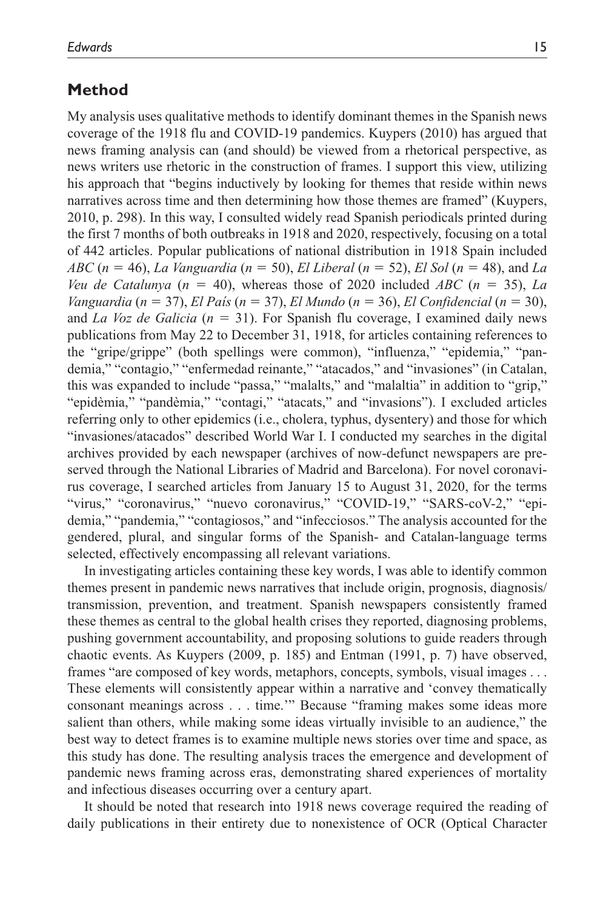#### **Method**

My analysis uses qualitative methods to identify dominant themes in the Spanish news coverage of the 1918 flu and COVID-19 pandemics. Kuypers (2010) has argued that news framing analysis can (and should) be viewed from a rhetorical perspective, as news writers use rhetoric in the construction of frames. I support this view, utilizing his approach that "begins inductively by looking for themes that reside within news narratives across time and then determining how those themes are framed" (Kuypers, 2010, p. 298). In this way, I consulted widely read Spanish periodicals printed during the first 7 months of both outbreaks in 1918 and 2020, respectively, focusing on a total of 442 articles. Popular publications of national distribution in 1918 Spain included *ABC* (*n* = 46), *La Vanguardia* (*n* = 50), *El Liberal* (*n* = 52), *El Sol* (*n* = 48), and *La Veu de Catalunya* (*n* = 40), whereas those of 2020 included *ABC* (*n* = 35), *La Vanguardia* (*n* = 37), *El País* (*n* = 37), *El Mundo* (*n* = 36), *El Confidencial* (*n* = 30), and *La Voz de Galicia* (*n* = 31). For Spanish flu coverage, I examined daily news publications from May 22 to December 31, 1918, for articles containing references to the "gripe/grippe" (both spellings were common), "influenza," "epidemia," "pandemia," "contagio," "enfermedad reinante," "atacados," and "invasiones" (in Catalan, this was expanded to include "passa," "malalts," and "malaltia" in addition to "grip," "epidèmia," "pandèmia," "contagi," "atacats," and "invasions"). I excluded articles referring only to other epidemics (i.e., cholera, typhus, dysentery) and those for which "invasiones/atacados" described World War I. I conducted my searches in the digital archives provided by each newspaper (archives of now-defunct newspapers are preserved through the National Libraries of Madrid and Barcelona). For novel coronavirus coverage, I searched articles from January 15 to August 31, 2020, for the terms "virus," "coronavirus," "nuevo coronavirus," "COVID-19," "SARS-coV-2," "epidemia," "pandemia," "contagiosos," and "infecciosos." The analysis accounted for the gendered, plural, and singular forms of the Spanish- and Catalan-language terms selected, effectively encompassing all relevant variations.

In investigating articles containing these key words, I was able to identify common themes present in pandemic news narratives that include origin, prognosis, diagnosis/ transmission, prevention, and treatment. Spanish newspapers consistently framed these themes as central to the global health crises they reported, diagnosing problems, pushing government accountability, and proposing solutions to guide readers through chaotic events. As Kuypers (2009, p. 185) and Entman (1991, p. 7) have observed, frames "are composed of key words, metaphors, concepts, symbols, visual images . . . These elements will consistently appear within a narrative and 'convey thematically consonant meanings across . . . time.'" Because "framing makes some ideas more salient than others, while making some ideas virtually invisible to an audience," the best way to detect frames is to examine multiple news stories over time and space, as this study has done. The resulting analysis traces the emergence and development of pandemic news framing across eras, demonstrating shared experiences of mortality and infectious diseases occurring over a century apart.

It should be noted that research into 1918 news coverage required the reading of daily publications in their entirety due to nonexistence of OCR (Optical Character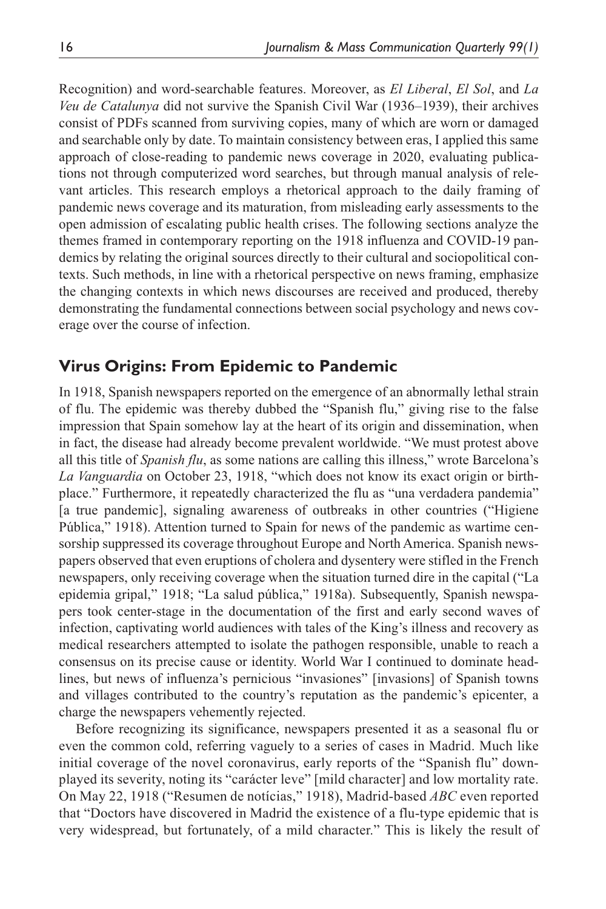Recognition) and word-searchable features. Moreover, as *El Liberal*, *El Sol*, and *La Veu de Catalunya* did not survive the Spanish Civil War (1936–1939), their archives consist of PDFs scanned from surviving copies, many of which are worn or damaged and searchable only by date. To maintain consistency between eras, I applied this same approach of close-reading to pandemic news coverage in 2020, evaluating publications not through computerized word searches, but through manual analysis of relevant articles. This research employs a rhetorical approach to the daily framing of pandemic news coverage and its maturation, from misleading early assessments to the open admission of escalating public health crises. The following sections analyze the themes framed in contemporary reporting on the 1918 influenza and COVID-19 pandemics by relating the original sources directly to their cultural and sociopolitical contexts. Such methods, in line with a rhetorical perspective on news framing, emphasize the changing contexts in which news discourses are received and produced, thereby demonstrating the fundamental connections between social psychology and news coverage over the course of infection.

# **Virus Origins: From Epidemic to Pandemic**

In 1918, Spanish newspapers reported on the emergence of an abnormally lethal strain of flu. The epidemic was thereby dubbed the "Spanish flu," giving rise to the false impression that Spain somehow lay at the heart of its origin and dissemination, when in fact, the disease had already become prevalent worldwide. "We must protest above all this title of *Spanish flu*, as some nations are calling this illness," wrote Barcelona's *La Vanguardia* on October 23, 1918, "which does not know its exact origin or birthplace." Furthermore, it repeatedly characterized the flu as "una verdadera pandemia" [a true pandemic], signaling awareness of outbreaks in other countries ("Higiene Pública," 1918). Attention turned to Spain for news of the pandemic as wartime censorship suppressed its coverage throughout Europe and North America. Spanish newspapers observed that even eruptions of cholera and dysentery were stifled in the French newspapers, only receiving coverage when the situation turned dire in the capital ("La epidemia gripal," 1918; "La salud pública," 1918a). Subsequently, Spanish newspapers took center-stage in the documentation of the first and early second waves of infection, captivating world audiences with tales of the King's illness and recovery as medical researchers attempted to isolate the pathogen responsible, unable to reach a consensus on its precise cause or identity. World War I continued to dominate headlines, but news of influenza's pernicious "invasiones" [invasions] of Spanish towns and villages contributed to the country's reputation as the pandemic's epicenter, a charge the newspapers vehemently rejected.

Before recognizing its significance, newspapers presented it as a seasonal flu or even the common cold, referring vaguely to a series of cases in Madrid. Much like initial coverage of the novel coronavirus, early reports of the "Spanish flu" downplayed its severity, noting its "carácter leve" [mild character] and low mortality rate. On May 22, 1918 ("Resumen de notícias," 1918), Madrid-based *ABC* even reported that "Doctors have discovered in Madrid the existence of a flu-type epidemic that is very widespread, but fortunately, of a mild character." This is likely the result of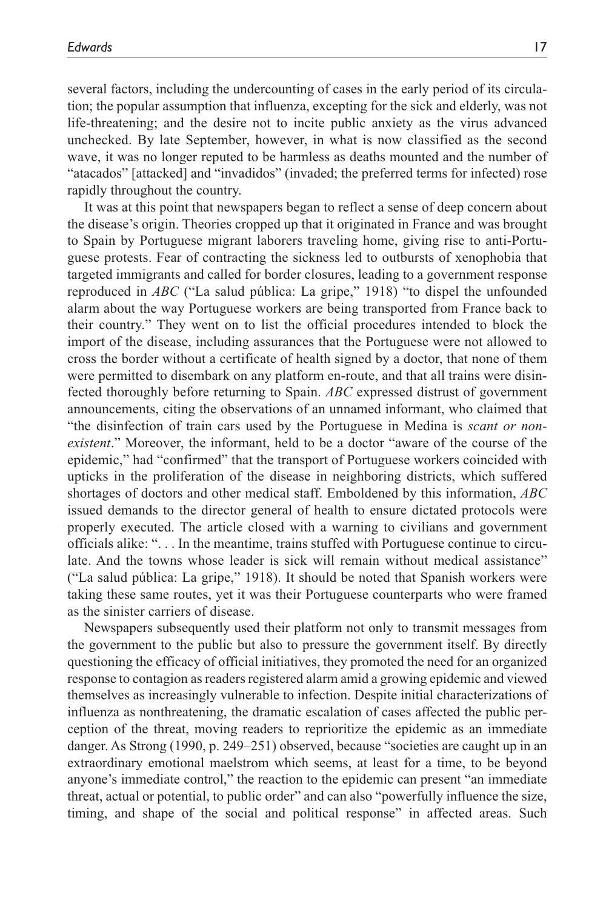several factors, including the undercounting of cases in the early period of its circulation; the popular assumption that influenza, excepting for the sick and elderly, was not life-threatening; and the desire not to incite public anxiety as the virus advanced unchecked. By late September, however, in what is now classified as the second wave, it was no longer reputed to be harmless as deaths mounted and the number of "atacados" [attacked] and "invadidos" (invaded; the preferred terms for infected) rose rapidly throughout the country.

It was at this point that newspapers began to reflect a sense of deep concern about the disease's origin. Theories cropped up that it originated in France and was brought to Spain by Portuguese migrant laborers traveling home, giving rise to anti-Portuguese protests. Fear of contracting the sickness led to outbursts of xenophobia that targeted immigrants and called for border closures, leading to a government response reproduced in *ABC* ("La salud pública: La gripe," 1918) "to dispel the unfounded alarm about the way Portuguese workers are being transported from France back to their country." They went on to list the official procedures intended to block the import of the disease, including assurances that the Portuguese were not allowed to cross the border without a certificate of health signed by a doctor, that none of them were permitted to disembark on any platform en-route, and that all trains were disinfected thoroughly before returning to Spain. *ABC* expressed distrust of government announcements, citing the observations of an unnamed informant, who claimed that "the disinfection of train cars used by the Portuguese in Medina is *scant or nonexistent*." Moreover, the informant, held to be a doctor "aware of the course of the epidemic," had "confirmed" that the transport of Portuguese workers coincided with upticks in the proliferation of the disease in neighboring districts, which suffered shortages of doctors and other medical staff. Emboldened by this information, *ABC* issued demands to the director general of health to ensure dictated protocols were properly executed. The article closed with a warning to civilians and government officials alike: ". . . In the meantime, trains stuffed with Portuguese continue to circulate. And the towns whose leader is sick will remain without medical assistance" ("La salud pública: La gripe," 1918). It should be noted that Spanish workers were taking these same routes, yet it was their Portuguese counterparts who were framed as the sinister carriers of disease.

Newspapers subsequently used their platform not only to transmit messages from the government to the public but also to pressure the government itself. By directly questioning the efficacy of official initiatives, they promoted the need for an organized response to contagion as readers registered alarm amid a growing epidemic and viewed themselves as increasingly vulnerable to infection. Despite initial characterizations of influenza as nonthreatening, the dramatic escalation of cases affected the public perception of the threat, moving readers to reprioritize the epidemic as an immediate danger. As Strong (1990, p. 249–251) observed, because "societies are caught up in an extraordinary emotional maelstrom which seems, at least for a time, to be beyond anyone's immediate control," the reaction to the epidemic can present "an immediate threat, actual or potential, to public order" and can also "powerfully influence the size, timing, and shape of the social and political response" in affected areas. Such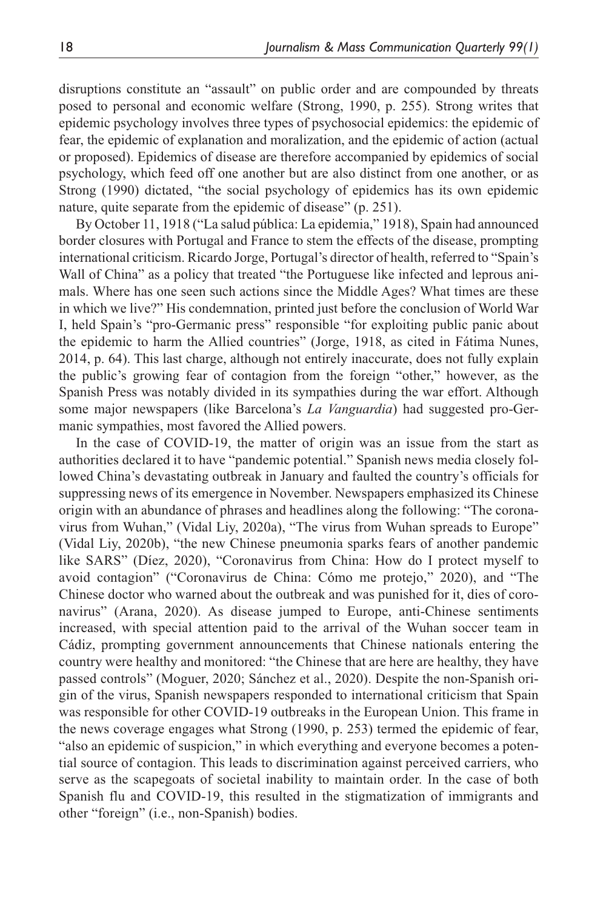disruptions constitute an "assault" on public order and are compounded by threats posed to personal and economic welfare (Strong, 1990, p. 255). Strong writes that epidemic psychology involves three types of psychosocial epidemics: the epidemic of fear, the epidemic of explanation and moralization, and the epidemic of action (actual or proposed). Epidemics of disease are therefore accompanied by epidemics of social psychology, which feed off one another but are also distinct from one another, or as Strong (1990) dictated, "the social psychology of epidemics has its own epidemic nature, quite separate from the epidemic of disease" (p. 251).

By October 11, 1918 ("La salud pública: La epidemia," 1918), Spain had announced border closures with Portugal and France to stem the effects of the disease, prompting international criticism. Ricardo Jorge, Portugal's director of health, referred to "Spain's Wall of China" as a policy that treated "the Portuguese like infected and leprous animals. Where has one seen such actions since the Middle Ages? What times are these in which we live?" His condemnation, printed just before the conclusion of World War I, held Spain's "pro-Germanic press" responsible "for exploiting public panic about the epidemic to harm the Allied countries" (Jorge, 1918, as cited in Fátima Nunes, 2014, p. 64). This last charge, although not entirely inaccurate, does not fully explain the public's growing fear of contagion from the foreign "other," however, as the Spanish Press was notably divided in its sympathies during the war effort. Although some major newspapers (like Barcelona's *La Vanguardia*) had suggested pro-Germanic sympathies, most favored the Allied powers.

In the case of COVID-19, the matter of origin was an issue from the start as authorities declared it to have "pandemic potential." Spanish news media closely followed China's devastating outbreak in January and faulted the country's officials for suppressing news of its emergence in November. Newspapers emphasized its Chinese origin with an abundance of phrases and headlines along the following: "The coronavirus from Wuhan," (Vidal Liy, 2020a), "The virus from Wuhan spreads to Europe" (Vidal Liy, 2020b), "the new Chinese pneumonia sparks fears of another pandemic like SARS" (Díez, 2020), "Coronavirus from China: How do I protect myself to avoid contagion" ("Coronavirus de China: Cómo me protejo," 2020), and "The Chinese doctor who warned about the outbreak and was punished for it, dies of coronavirus" (Arana, 2020). As disease jumped to Europe, anti-Chinese sentiments increased, with special attention paid to the arrival of the Wuhan soccer team in Cádiz, prompting government announcements that Chinese nationals entering the country were healthy and monitored: "the Chinese that are here are healthy, they have passed controls" (Moguer, 2020; Sánchez et al., 2020). Despite the non-Spanish origin of the virus, Spanish newspapers responded to international criticism that Spain was responsible for other COVID-19 outbreaks in the European Union. This frame in the news coverage engages what Strong (1990, p. 253) termed the epidemic of fear, "also an epidemic of suspicion," in which everything and everyone becomes a potential source of contagion. This leads to discrimination against perceived carriers, who serve as the scapegoats of societal inability to maintain order. In the case of both Spanish flu and COVID-19, this resulted in the stigmatization of immigrants and other "foreign" (i.e., non-Spanish) bodies.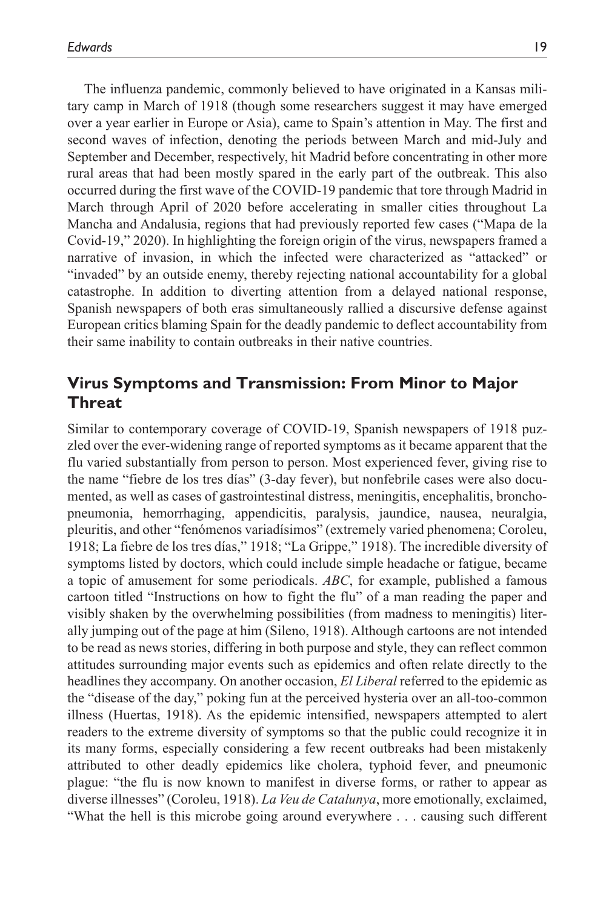The influenza pandemic, commonly believed to have originated in a Kansas military camp in March of 1918 (though some researchers suggest it may have emerged over a year earlier in Europe or Asia), came to Spain's attention in May. The first and second waves of infection, denoting the periods between March and mid-July and September and December, respectively, hit Madrid before concentrating in other more rural areas that had been mostly spared in the early part of the outbreak. This also occurred during the first wave of the COVID-19 pandemic that tore through Madrid in March through April of 2020 before accelerating in smaller cities throughout La Mancha and Andalusia, regions that had previously reported few cases ("Mapa de la Covid-19," 2020). In highlighting the foreign origin of the virus, newspapers framed a narrative of invasion, in which the infected were characterized as "attacked" or "invaded" by an outside enemy, thereby rejecting national accountability for a global catastrophe. In addition to diverting attention from a delayed national response, Spanish newspapers of both eras simultaneously rallied a discursive defense against European critics blaming Spain for the deadly pandemic to deflect accountability from their same inability to contain outbreaks in their native countries.

### **Virus Symptoms and Transmission: From Minor to Major Threat**

Similar to contemporary coverage of COVID-19, Spanish newspapers of 1918 puzzled over the ever-widening range of reported symptoms as it became apparent that the flu varied substantially from person to person. Most experienced fever, giving rise to the name "fiebre de los tres días" (3-day fever), but nonfebrile cases were also documented, as well as cases of gastrointestinal distress, meningitis, encephalitis, bronchopneumonia, hemorrhaging, appendicitis, paralysis, jaundice, nausea, neuralgia, pleuritis, and other "fenómenos variadísimos" (extremely varied phenomena; Coroleu, 1918; La fiebre de los tres días," 1918; "La Grippe," 1918). The incredible diversity of symptoms listed by doctors, which could include simple headache or fatigue, became a topic of amusement for some periodicals. *ABC*, for example, published a famous cartoon titled "Instructions on how to fight the flu" of a man reading the paper and visibly shaken by the overwhelming possibilities (from madness to meningitis) literally jumping out of the page at him (Sileno, 1918). Although cartoons are not intended to be read as news stories, differing in both purpose and style, they can reflect common attitudes surrounding major events such as epidemics and often relate directly to the headlines they accompany. On another occasion, *El Liberal* referred to the epidemic as the "disease of the day," poking fun at the perceived hysteria over an all-too-common illness (Huertas, 1918). As the epidemic intensified, newspapers attempted to alert readers to the extreme diversity of symptoms so that the public could recognize it in its many forms, especially considering a few recent outbreaks had been mistakenly attributed to other deadly epidemics like cholera, typhoid fever, and pneumonic plague: "the flu is now known to manifest in diverse forms, or rather to appear as diverse illnesses" (Coroleu, 1918). *La Veu de Catalunya*, more emotionally, exclaimed, "What the hell is this microbe going around everywhere . . . causing such different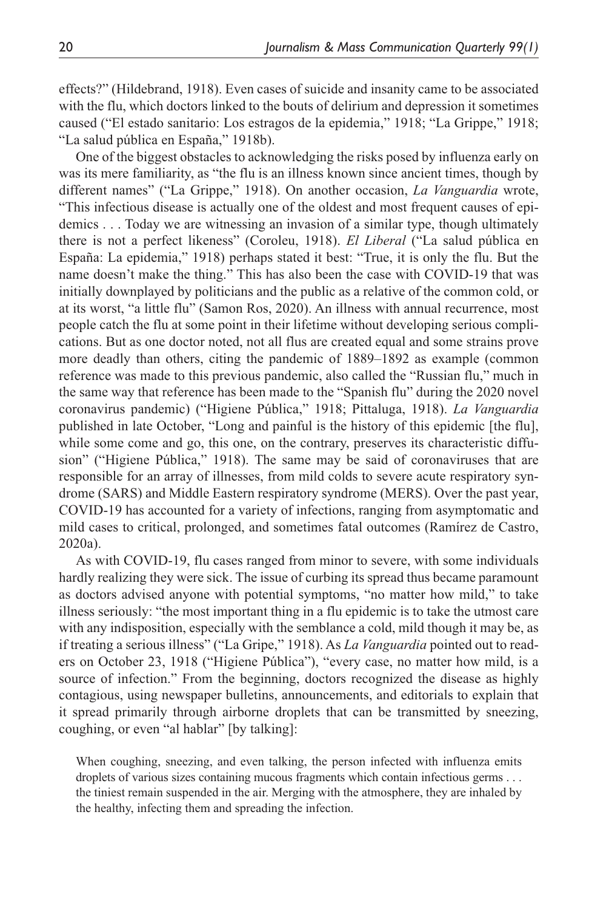effects?" (Hildebrand, 1918). Even cases of suicide and insanity came to be associated with the flu, which doctors linked to the bouts of delirium and depression it sometimes caused ("El estado sanitario: Los estragos de la epidemia," 1918; "La Grippe," 1918; "La salud pública en España," 1918b).

One of the biggest obstacles to acknowledging the risks posed by influenza early on was its mere familiarity, as "the flu is an illness known since ancient times, though by different names" ("La Grippe," 1918). On another occasion, *La Vanguardia* wrote, "This infectious disease is actually one of the oldest and most frequent causes of epidemics . . . Today we are witnessing an invasion of a similar type, though ultimately there is not a perfect likeness" (Coroleu, 1918). *El Liberal* ("La salud pública en España: La epidemia," 1918) perhaps stated it best: "True, it is only the flu. But the name doesn't make the thing." This has also been the case with COVID-19 that was initially downplayed by politicians and the public as a relative of the common cold, or at its worst, "a little flu" (Samon Ros, 2020). An illness with annual recurrence, most people catch the flu at some point in their lifetime without developing serious complications. But as one doctor noted, not all flus are created equal and some strains prove more deadly than others, citing the pandemic of 1889–1892 as example (common reference was made to this previous pandemic, also called the "Russian flu," much in the same way that reference has been made to the "Spanish flu" during the 2020 novel coronavirus pandemic) ("Higiene Pública," 1918; Pittaluga, 1918). *La Vanguardia* published in late October, "Long and painful is the history of this epidemic [the flu], while some come and go, this one, on the contrary, preserves its characteristic diffusion" ("Higiene Pública," 1918). The same may be said of coronaviruses that are responsible for an array of illnesses, from mild colds to severe acute respiratory syndrome (SARS) and Middle Eastern respiratory syndrome (MERS). Over the past year, COVID-19 has accounted for a variety of infections, ranging from asymptomatic and mild cases to critical, prolonged, and sometimes fatal outcomes (Ramírez de Castro, 2020a).

As with COVID-19, flu cases ranged from minor to severe, with some individuals hardly realizing they were sick. The issue of curbing its spread thus became paramount as doctors advised anyone with potential symptoms, "no matter how mild," to take illness seriously: "the most important thing in a flu epidemic is to take the utmost care with any indisposition, especially with the semblance a cold, mild though it may be, as if treating a serious illness" ("La Gripe," 1918). As *La Vanguardia* pointed out to readers on October 23, 1918 ("Higiene Pública"), "every case, no matter how mild, is a source of infection." From the beginning, doctors recognized the disease as highly contagious, using newspaper bulletins, announcements, and editorials to explain that it spread primarily through airborne droplets that can be transmitted by sneezing, coughing, or even "al hablar" [by talking]:

When coughing, sneezing, and even talking, the person infected with influenza emits droplets of various sizes containing mucous fragments which contain infectious germs . . . the tiniest remain suspended in the air. Merging with the atmosphere, they are inhaled by the healthy, infecting them and spreading the infection.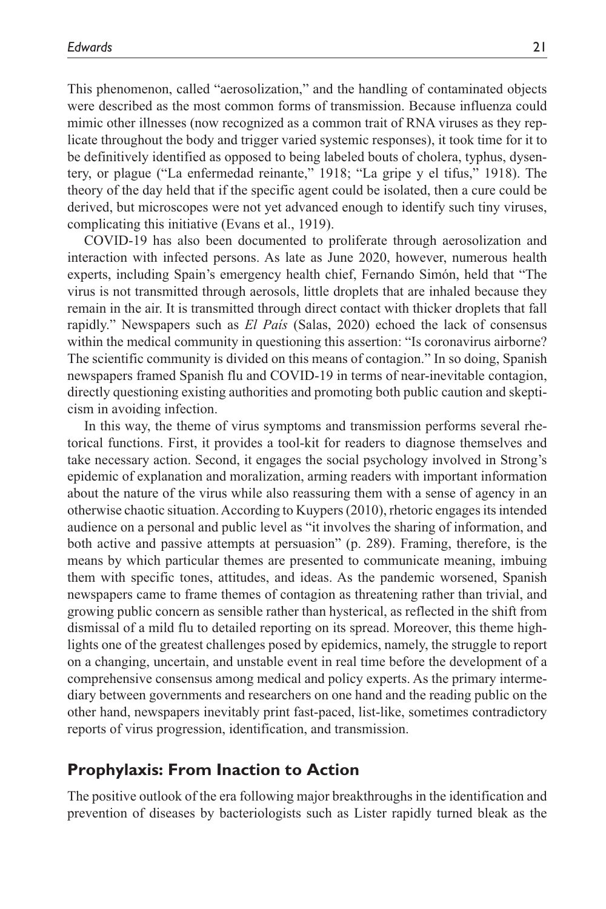This phenomenon, called "aerosolization," and the handling of contaminated objects were described as the most common forms of transmission. Because influenza could mimic other illnesses (now recognized as a common trait of RNA viruses as they replicate throughout the body and trigger varied systemic responses), it took time for it to be definitively identified as opposed to being labeled bouts of cholera, typhus, dysentery, or plague ("La enfermedad reinante," 1918; "La gripe y el tifus," 1918). The theory of the day held that if the specific agent could be isolated, then a cure could be derived, but microscopes were not yet advanced enough to identify such tiny viruses, complicating this initiative (Evans et al., 1919).

COVID-19 has also been documented to proliferate through aerosolization and interaction with infected persons. As late as June 2020, however, numerous health experts, including Spain's emergency health chief, Fernando Simón, held that "The virus is not transmitted through aerosols, little droplets that are inhaled because they remain in the air. It is transmitted through direct contact with thicker droplets that fall rapidly." Newspapers such as *El País* (Salas, 2020) echoed the lack of consensus within the medical community in questioning this assertion: "Is coronavirus airborne? The scientific community is divided on this means of contagion." In so doing, Spanish newspapers framed Spanish flu and COVID-19 in terms of near-inevitable contagion, directly questioning existing authorities and promoting both public caution and skepticism in avoiding infection.

In this way, the theme of virus symptoms and transmission performs several rhetorical functions. First, it provides a tool-kit for readers to diagnose themselves and take necessary action. Second, it engages the social psychology involved in Strong's epidemic of explanation and moralization, arming readers with important information about the nature of the virus while also reassuring them with a sense of agency in an otherwise chaotic situation. According to Kuypers (2010), rhetoric engages its intended audience on a personal and public level as "it involves the sharing of information, and both active and passive attempts at persuasion" (p. 289). Framing, therefore, is the means by which particular themes are presented to communicate meaning, imbuing them with specific tones, attitudes, and ideas. As the pandemic worsened, Spanish newspapers came to frame themes of contagion as threatening rather than trivial, and growing public concern as sensible rather than hysterical, as reflected in the shift from dismissal of a mild flu to detailed reporting on its spread. Moreover, this theme highlights one of the greatest challenges posed by epidemics, namely, the struggle to report on a changing, uncertain, and unstable event in real time before the development of a comprehensive consensus among medical and policy experts. As the primary intermediary between governments and researchers on one hand and the reading public on the other hand, newspapers inevitably print fast-paced, list-like, sometimes contradictory reports of virus progression, identification, and transmission.

#### **Prophylaxis: From Inaction to Action**

The positive outlook of the era following major breakthroughs in the identification and prevention of diseases by bacteriologists such as Lister rapidly turned bleak as the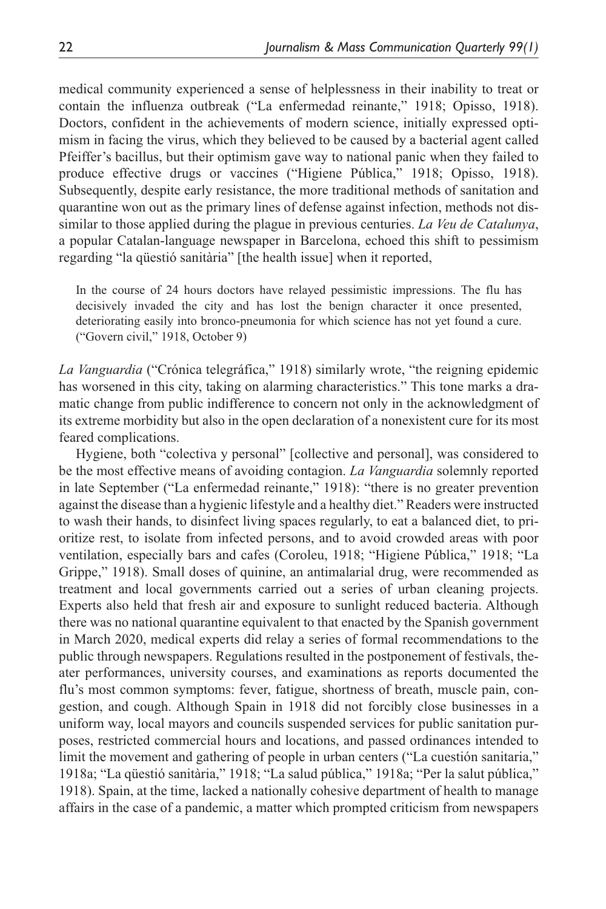medical community experienced a sense of helplessness in their inability to treat or contain the influenza outbreak ("La enfermedad reinante," 1918; Opisso, 1918). Doctors, confident in the achievements of modern science, initially expressed optimism in facing the virus, which they believed to be caused by a bacterial agent called Pfeiffer's bacillus, but their optimism gave way to national panic when they failed to produce effective drugs or vaccines ("Higiene Pública," 1918; Opisso, 1918). Subsequently, despite early resistance, the more traditional methods of sanitation and quarantine won out as the primary lines of defense against infection, methods not dissimilar to those applied during the plague in previous centuries. *La Veu de Catalunya*, a popular Catalan-language newspaper in Barcelona, echoed this shift to pessimism regarding "la qüestió sanitària" [the health issue] when it reported,

In the course of 24 hours doctors have relayed pessimistic impressions. The flu has decisively invaded the city and has lost the benign character it once presented, deteriorating easily into bronco-pneumonia for which science has not yet found a cure. ("Govern civil," 1918, October 9)

*La Vanguardia* ("Crónica telegráfica," 1918) similarly wrote, "the reigning epidemic has worsened in this city, taking on alarming characteristics." This tone marks a dramatic change from public indifference to concern not only in the acknowledgment of its extreme morbidity but also in the open declaration of a nonexistent cure for its most feared complications.

Hygiene, both "colectiva y personal" [collective and personal], was considered to be the most effective means of avoiding contagion. *La Vanguardia* solemnly reported in late September ("La enfermedad reinante," 1918): "there is no greater prevention against the disease than a hygienic lifestyle and a healthy diet." Readers were instructed to wash their hands, to disinfect living spaces regularly, to eat a balanced diet, to prioritize rest, to isolate from infected persons, and to avoid crowded areas with poor ventilation, especially bars and cafes (Coroleu, 1918; "Higiene Pública," 1918; "La Grippe," 1918). Small doses of quinine, an antimalarial drug, were recommended as treatment and local governments carried out a series of urban cleaning projects. Experts also held that fresh air and exposure to sunlight reduced bacteria. Although there was no national quarantine equivalent to that enacted by the Spanish government in March 2020, medical experts did relay a series of formal recommendations to the public through newspapers. Regulations resulted in the postponement of festivals, theater performances, university courses, and examinations as reports documented the flu's most common symptoms: fever, fatigue, shortness of breath, muscle pain, congestion, and cough. Although Spain in 1918 did not forcibly close businesses in a uniform way, local mayors and councils suspended services for public sanitation purposes, restricted commercial hours and locations, and passed ordinances intended to limit the movement and gathering of people in urban centers ("La cuestión sanitaria," 1918a; "La qüestió sanitària," 1918; "La salud pública," 1918a; "Per la salut pública," 1918). Spain, at the time, lacked a nationally cohesive department of health to manage affairs in the case of a pandemic, a matter which prompted criticism from newspapers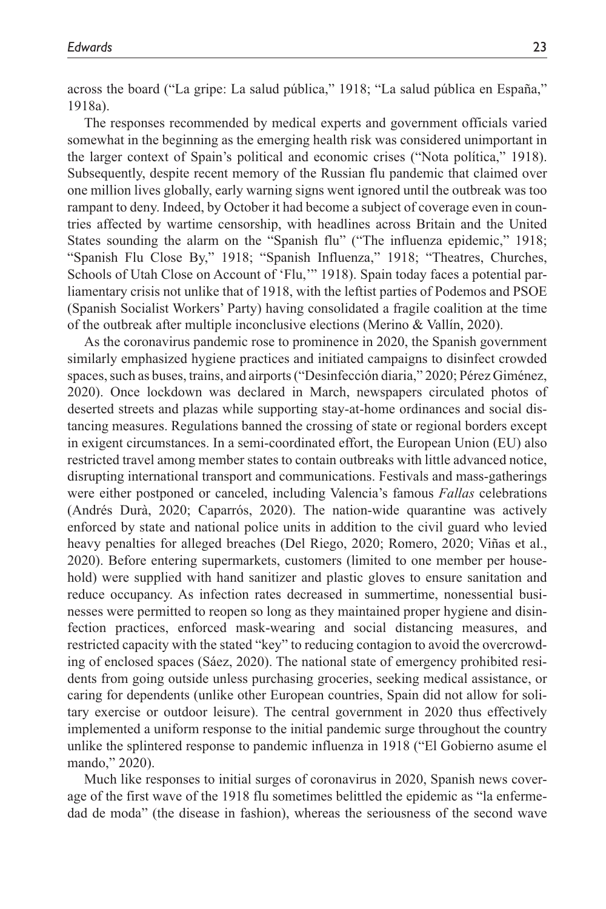across the board ("La gripe: La salud pública," 1918; "La salud pública en España," 1918a).

The responses recommended by medical experts and government officials varied somewhat in the beginning as the emerging health risk was considered unimportant in the larger context of Spain's political and economic crises ("Nota política," 1918). Subsequently, despite recent memory of the Russian flu pandemic that claimed over one million lives globally, early warning signs went ignored until the outbreak was too rampant to deny. Indeed, by October it had become a subject of coverage even in countries affected by wartime censorship, with headlines across Britain and the United States sounding the alarm on the "Spanish flu" ("The influenza epidemic," 1918; "Spanish Flu Close By," 1918; "Spanish Influenza," 1918; "Theatres, Churches, Schools of Utah Close on Account of 'Flu,'" 1918). Spain today faces a potential parliamentary crisis not unlike that of 1918, with the leftist parties of Podemos and PSOE (Spanish Socialist Workers' Party) having consolidated a fragile coalition at the time of the outbreak after multiple inconclusive elections (Merino & Vallín, 2020).

As the coronavirus pandemic rose to prominence in 2020, the Spanish government similarly emphasized hygiene practices and initiated campaigns to disinfect crowded spaces, such as buses, trains, and airports ("Desinfección diaria," 2020; Pérez Giménez, 2020). Once lockdown was declared in March, newspapers circulated photos of deserted streets and plazas while supporting stay-at-home ordinances and social distancing measures. Regulations banned the crossing of state or regional borders except in exigent circumstances. In a semi-coordinated effort, the European Union (EU) also restricted travel among member states to contain outbreaks with little advanced notice, disrupting international transport and communications. Festivals and mass-gatherings were either postponed or canceled, including Valencia's famous *Fallas* celebrations (Andrés Durà, 2020; Caparrós, 2020). The nation-wide quarantine was actively enforced by state and national police units in addition to the civil guard who levied heavy penalties for alleged breaches (Del Riego, 2020; Romero, 2020; Viñas et al., 2020). Before entering supermarkets, customers (limited to one member per household) were supplied with hand sanitizer and plastic gloves to ensure sanitation and reduce occupancy. As infection rates decreased in summertime, nonessential businesses were permitted to reopen so long as they maintained proper hygiene and disinfection practices, enforced mask-wearing and social distancing measures, and restricted capacity with the stated "key" to reducing contagion to avoid the overcrowding of enclosed spaces (Sáez, 2020). The national state of emergency prohibited residents from going outside unless purchasing groceries, seeking medical assistance, or caring for dependents (unlike other European countries, Spain did not allow for solitary exercise or outdoor leisure). The central government in 2020 thus effectively implemented a uniform response to the initial pandemic surge throughout the country unlike the splintered response to pandemic influenza in 1918 ("El Gobierno asume el mando," 2020).

Much like responses to initial surges of coronavirus in 2020, Spanish news coverage of the first wave of the 1918 flu sometimes belittled the epidemic as "la enfermedad de moda" (the disease in fashion), whereas the seriousness of the second wave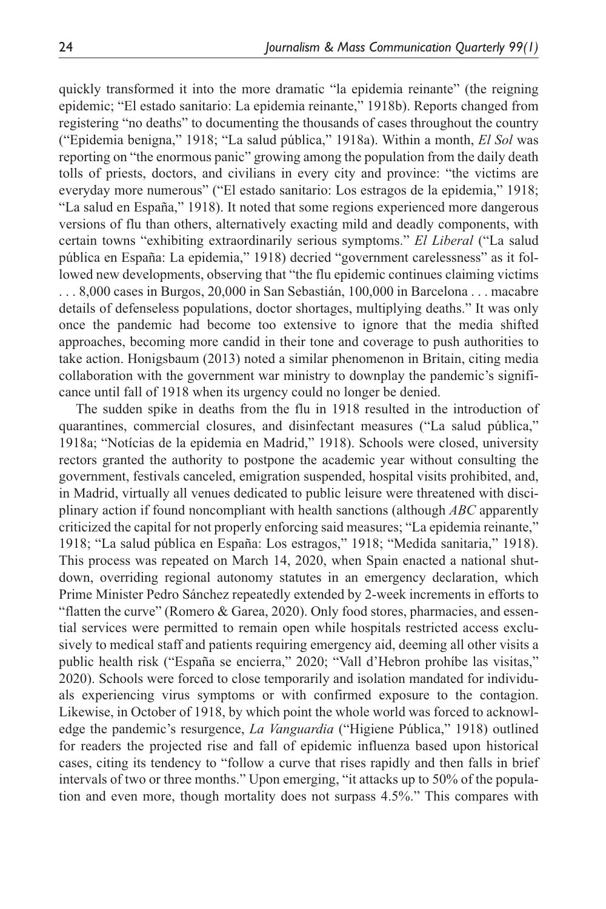quickly transformed it into the more dramatic "la epidemia reinante" (the reigning epidemic; "El estado sanitario: La epidemia reinante," 1918b). Reports changed from registering "no deaths" to documenting the thousands of cases throughout the country ("Epidemia benigna," 1918; "La salud pública," 1918a). Within a month, *El Sol* was reporting on "the enormous panic" growing among the population from the daily death tolls of priests, doctors, and civilians in every city and province: "the victims are everyday more numerous" ("El estado sanitario: Los estragos de la epidemia," 1918; "La salud en España," 1918). It noted that some regions experienced more dangerous versions of flu than others, alternatively exacting mild and deadly components, with certain towns "exhibiting extraordinarily serious symptoms." *El Liberal* ("La salud pública en España: La epidemia," 1918) decried "government carelessness" as it followed new developments, observing that "the flu epidemic continues claiming victims . . . 8,000 cases in Burgos, 20,000 in San Sebastián, 100,000 in Barcelona . . . macabre details of defenseless populations, doctor shortages, multiplying deaths." It was only once the pandemic had become too extensive to ignore that the media shifted approaches, becoming more candid in their tone and coverage to push authorities to take action. Honigsbaum (2013) noted a similar phenomenon in Britain, citing media collaboration with the government war ministry to downplay the pandemic's significance until fall of 1918 when its urgency could no longer be denied.

The sudden spike in deaths from the flu in 1918 resulted in the introduction of quarantines, commercial closures, and disinfectant measures ("La salud pública," 1918a; "Notícias de la epidemia en Madrid," 1918). Schools were closed, university rectors granted the authority to postpone the academic year without consulting the government, festivals canceled, emigration suspended, hospital visits prohibited, and, in Madrid, virtually all venues dedicated to public leisure were threatened with disciplinary action if found noncompliant with health sanctions (although *ABC* apparently criticized the capital for not properly enforcing said measures; "La epidemia reinante," 1918; "La salud pública en España: Los estragos," 1918; "Medida sanitaria," 1918). This process was repeated on March 14, 2020, when Spain enacted a national shutdown, overriding regional autonomy statutes in an emergency declaration, which Prime Minister Pedro Sánchez repeatedly extended by 2-week increments in efforts to "flatten the curve" (Romero & Garea, 2020). Only food stores, pharmacies, and essential services were permitted to remain open while hospitals restricted access exclusively to medical staff and patients requiring emergency aid, deeming all other visits a public health risk ("España se encierra," 2020; "Vall d'Hebron prohíbe las visitas," 2020). Schools were forced to close temporarily and isolation mandated for individuals experiencing virus symptoms or with confirmed exposure to the contagion. Likewise, in October of 1918, by which point the whole world was forced to acknowledge the pandemic's resurgence, *La Vanguardia* ("Higiene Pública," 1918) outlined for readers the projected rise and fall of epidemic influenza based upon historical cases, citing its tendency to "follow a curve that rises rapidly and then falls in brief intervals of two or three months." Upon emerging, "it attacks up to 50% of the population and even more, though mortality does not surpass 4.5%." This compares with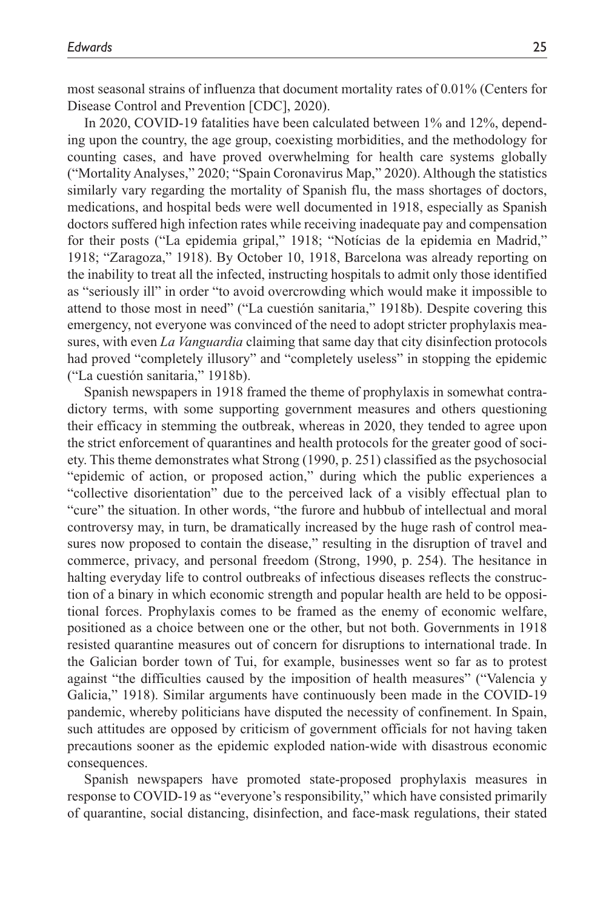most seasonal strains of influenza that document mortality rates of 0.01% (Centers for Disease Control and Prevention [CDC], 2020).

In 2020, COVID-19 fatalities have been calculated between 1% and 12%, depending upon the country, the age group, coexisting morbidities, and the methodology for counting cases, and have proved overwhelming for health care systems globally ("Mortality Analyses," 2020; "Spain Coronavirus Map," 2020). Although the statistics similarly vary regarding the mortality of Spanish flu, the mass shortages of doctors, medications, and hospital beds were well documented in 1918, especially as Spanish doctors suffered high infection rates while receiving inadequate pay and compensation for their posts ("La epidemia gripal," 1918; "Notícias de la epidemia en Madrid," 1918; "Zaragoza," 1918). By October 10, 1918, Barcelona was already reporting on the inability to treat all the infected, instructing hospitals to admit only those identified as "seriously ill" in order "to avoid overcrowding which would make it impossible to attend to those most in need" ("La cuestión sanitaria," 1918b). Despite covering this emergency, not everyone was convinced of the need to adopt stricter prophylaxis measures, with even *La Vanguardia* claiming that same day that city disinfection protocols had proved "completely illusory" and "completely useless" in stopping the epidemic ("La cuestión sanitaria," 1918b).

Spanish newspapers in 1918 framed the theme of prophylaxis in somewhat contradictory terms, with some supporting government measures and others questioning their efficacy in stemming the outbreak, whereas in 2020, they tended to agree upon the strict enforcement of quarantines and health protocols for the greater good of society. This theme demonstrates what Strong (1990, p. 251) classified as the psychosocial "epidemic of action, or proposed action," during which the public experiences a "collective disorientation" due to the perceived lack of a visibly effectual plan to "cure" the situation. In other words, "the furore and hubbub of intellectual and moral controversy may, in turn, be dramatically increased by the huge rash of control measures now proposed to contain the disease," resulting in the disruption of travel and commerce, privacy, and personal freedom (Strong, 1990, p. 254). The hesitance in halting everyday life to control outbreaks of infectious diseases reflects the construction of a binary in which economic strength and popular health are held to be oppositional forces. Prophylaxis comes to be framed as the enemy of economic welfare, positioned as a choice between one or the other, but not both. Governments in 1918 resisted quarantine measures out of concern for disruptions to international trade. In the Galician border town of Tui, for example, businesses went so far as to protest against "the difficulties caused by the imposition of health measures" ("Valencia y Galicia," 1918). Similar arguments have continuously been made in the COVID-19 pandemic, whereby politicians have disputed the necessity of confinement. In Spain, such attitudes are opposed by criticism of government officials for not having taken precautions sooner as the epidemic exploded nation-wide with disastrous economic consequences.

Spanish newspapers have promoted state-proposed prophylaxis measures in response to COVID-19 as "everyone's responsibility," which have consisted primarily of quarantine, social distancing, disinfection, and face-mask regulations, their stated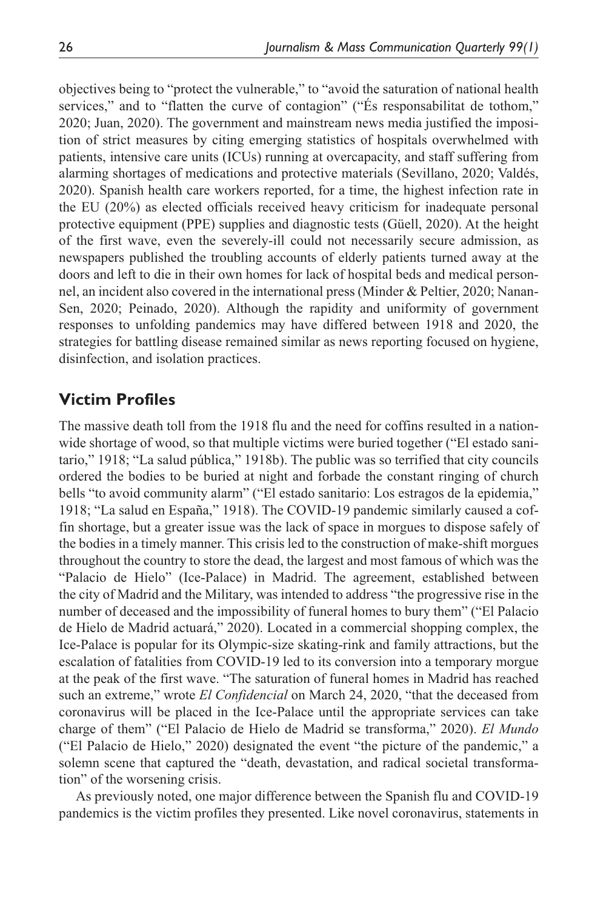objectives being to "protect the vulnerable," to "avoid the saturation of national health services," and to "flatten the curve of contagion" ("És responsabilitat de tothom," 2020; Juan, 2020). The government and mainstream news media justified the imposition of strict measures by citing emerging statistics of hospitals overwhelmed with patients, intensive care units (ICUs) running at overcapacity, and staff suffering from alarming shortages of medications and protective materials (Sevillano, 2020; Valdés, 2020). Spanish health care workers reported, for a time, the highest infection rate in the EU (20%) as elected officials received heavy criticism for inadequate personal protective equipment (PPE) supplies and diagnostic tests (Güell, 2020). At the height of the first wave, even the severely-ill could not necessarily secure admission, as newspapers published the troubling accounts of elderly patients turned away at the doors and left to die in their own homes for lack of hospital beds and medical personnel, an incident also covered in the international press (Minder & Peltier, 2020; Nanan-Sen, 2020; Peinado, 2020). Although the rapidity and uniformity of government responses to unfolding pandemics may have differed between 1918 and 2020, the strategies for battling disease remained similar as news reporting focused on hygiene, disinfection, and isolation practices.

# **Victim Profiles**

The massive death toll from the 1918 flu and the need for coffins resulted in a nationwide shortage of wood, so that multiple victims were buried together ("El estado sanitario," 1918; "La salud pública," 1918b). The public was so terrified that city councils ordered the bodies to be buried at night and forbade the constant ringing of church bells "to avoid community alarm" ("El estado sanitario: Los estragos de la epidemia," 1918; "La salud en España," 1918). The COVID-19 pandemic similarly caused a coffin shortage, but a greater issue was the lack of space in morgues to dispose safely of the bodies in a timely manner. This crisis led to the construction of make-shift morgues throughout the country to store the dead, the largest and most famous of which was the "Palacio de Hielo" (Ice-Palace) in Madrid. The agreement, established between the city of Madrid and the Military, was intended to address "the progressive rise in the number of deceased and the impossibility of funeral homes to bury them" ("El Palacio de Hielo de Madrid actuará," 2020). Located in a commercial shopping complex, the Ice-Palace is popular for its Olympic-size skating-rink and family attractions, but the escalation of fatalities from COVID-19 led to its conversion into a temporary morgue at the peak of the first wave. "The saturation of funeral homes in Madrid has reached such an extreme," wrote *El Confidencial* on March 24, 2020, "that the deceased from coronavirus will be placed in the Ice-Palace until the appropriate services can take charge of them" ("El Palacio de Hielo de Madrid se transforma," 2020). *El Mundo* ("El Palacio de Hielo," 2020) designated the event "the picture of the pandemic," a solemn scene that captured the "death, devastation, and radical societal transformation" of the worsening crisis.

As previously noted, one major difference between the Spanish flu and COVID-19 pandemics is the victim profiles they presented. Like novel coronavirus, statements in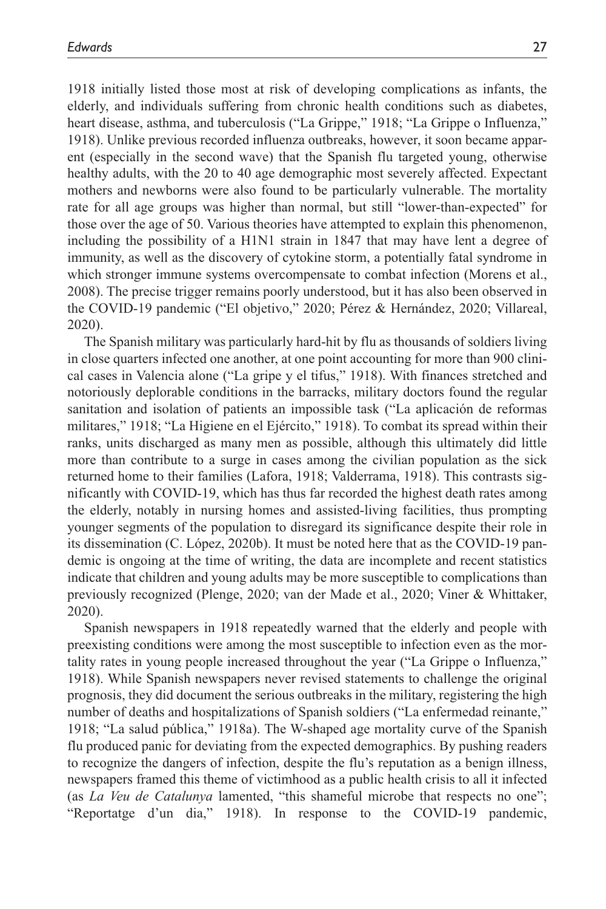1918 initially listed those most at risk of developing complications as infants, the elderly, and individuals suffering from chronic health conditions such as diabetes, heart disease, asthma, and tuberculosis ("La Grippe," 1918; "La Grippe o Influenza," 1918). Unlike previous recorded influenza outbreaks, however, it soon became apparent (especially in the second wave) that the Spanish flu targeted young, otherwise healthy adults, with the 20 to 40 age demographic most severely affected. Expectant mothers and newborns were also found to be particularly vulnerable. The mortality rate for all age groups was higher than normal, but still "lower-than-expected" for those over the age of 50. Various theories have attempted to explain this phenomenon, including the possibility of a H1N1 strain in 1847 that may have lent a degree of immunity, as well as the discovery of cytokine storm, a potentially fatal syndrome in which stronger immune systems overcompensate to combat infection (Morens et al., 2008). The precise trigger remains poorly understood, but it has also been observed in the COVID-19 pandemic ("El objetivo," 2020; Pérez & Hernández, 2020; Villareal, 2020).

The Spanish military was particularly hard-hit by flu as thousands of soldiers living in close quarters infected one another, at one point accounting for more than 900 clinical cases in Valencia alone ("La gripe y el tifus," 1918). With finances stretched and notoriously deplorable conditions in the barracks, military doctors found the regular sanitation and isolation of patients an impossible task ("La aplicación de reformas militares," 1918; "La Higiene en el Ejército," 1918). To combat its spread within their ranks, units discharged as many men as possible, although this ultimately did little more than contribute to a surge in cases among the civilian population as the sick returned home to their families (Lafora, 1918; Valderrama, 1918). This contrasts significantly with COVID-19, which has thus far recorded the highest death rates among the elderly, notably in nursing homes and assisted-living facilities, thus prompting younger segments of the population to disregard its significance despite their role in its dissemination (C. López, 2020b). It must be noted here that as the COVID-19 pandemic is ongoing at the time of writing, the data are incomplete and recent statistics indicate that children and young adults may be more susceptible to complications than previously recognized (Plenge, 2020; van der Made et al., 2020; Viner & Whittaker, 2020).

Spanish newspapers in 1918 repeatedly warned that the elderly and people with preexisting conditions were among the most susceptible to infection even as the mortality rates in young people increased throughout the year ("La Grippe o Influenza," 1918). While Spanish newspapers never revised statements to challenge the original prognosis, they did document the serious outbreaks in the military, registering the high number of deaths and hospitalizations of Spanish soldiers ("La enfermedad reinante," 1918; "La salud pública," 1918a). The W-shaped age mortality curve of the Spanish flu produced panic for deviating from the expected demographics. By pushing readers to recognize the dangers of infection, despite the flu's reputation as a benign illness, newspapers framed this theme of victimhood as a public health crisis to all it infected (as *La Veu de Catalunya* lamented, "this shameful microbe that respects no one"; "Reportatge d'un dia," 1918). In response to the COVID-19 pandemic,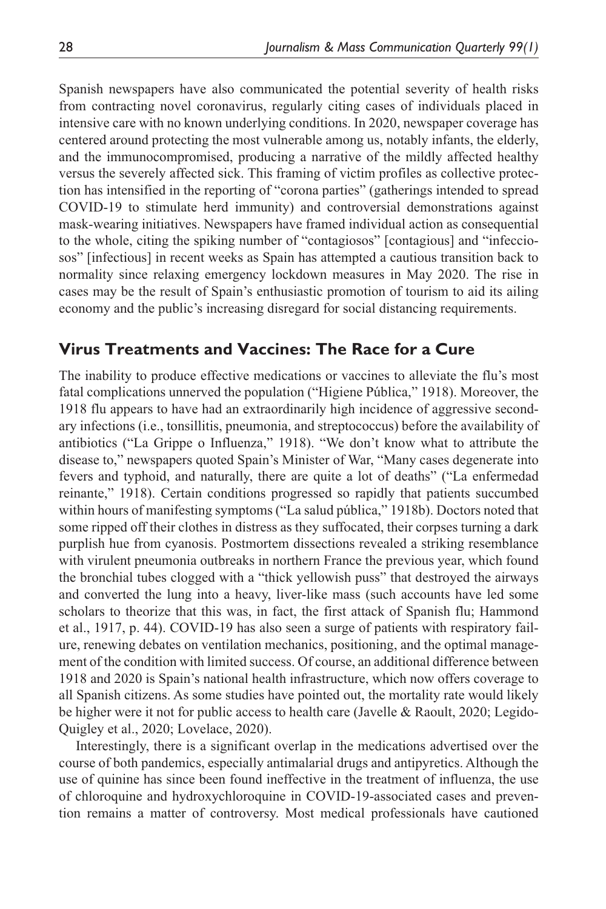Spanish newspapers have also communicated the potential severity of health risks from contracting novel coronavirus, regularly citing cases of individuals placed in intensive care with no known underlying conditions. In 2020, newspaper coverage has centered around protecting the most vulnerable among us, notably infants, the elderly, and the immunocompromised, producing a narrative of the mildly affected healthy versus the severely affected sick. This framing of victim profiles as collective protection has intensified in the reporting of "corona parties" (gatherings intended to spread COVID-19 to stimulate herd immunity) and controversial demonstrations against mask-wearing initiatives. Newspapers have framed individual action as consequential to the whole, citing the spiking number of "contagiosos" [contagious] and "infecciosos" [infectious] in recent weeks as Spain has attempted a cautious transition back to normality since relaxing emergency lockdown measures in May 2020. The rise in cases may be the result of Spain's enthusiastic promotion of tourism to aid its ailing economy and the public's increasing disregard for social distancing requirements.

### **Virus Treatments and Vaccines: The Race for a Cure**

The inability to produce effective medications or vaccines to alleviate the flu's most fatal complications unnerved the population ("Higiene Pública," 1918). Moreover, the 1918 flu appears to have had an extraordinarily high incidence of aggressive secondary infections (i.e., tonsillitis, pneumonia, and streptococcus) before the availability of antibiotics ("La Grippe o Influenza," 1918). "We don't know what to attribute the disease to," newspapers quoted Spain's Minister of War, "Many cases degenerate into fevers and typhoid, and naturally, there are quite a lot of deaths" ("La enfermedad reinante," 1918). Certain conditions progressed so rapidly that patients succumbed within hours of manifesting symptoms ("La salud pública," 1918b). Doctors noted that some ripped off their clothes in distress as they suffocated, their corpses turning a dark purplish hue from cyanosis. Postmortem dissections revealed a striking resemblance with virulent pneumonia outbreaks in northern France the previous year, which found the bronchial tubes clogged with a "thick yellowish puss" that destroyed the airways and converted the lung into a heavy, liver-like mass (such accounts have led some scholars to theorize that this was, in fact, the first attack of Spanish flu; Hammond et al., 1917, p. 44). COVID-19 has also seen a surge of patients with respiratory failure, renewing debates on ventilation mechanics, positioning, and the optimal management of the condition with limited success. Of course, an additional difference between 1918 and 2020 is Spain's national health infrastructure, which now offers coverage to all Spanish citizens. As some studies have pointed out, the mortality rate would likely be higher were it not for public access to health care (Javelle & Raoult, 2020; Legido-Quigley et al., 2020; Lovelace, 2020).

Interestingly, there is a significant overlap in the medications advertised over the course of both pandemics, especially antimalarial drugs and antipyretics. Although the use of quinine has since been found ineffective in the treatment of influenza, the use of chloroquine and hydroxychloroquine in COVID-19-associated cases and prevention remains a matter of controversy. Most medical professionals have cautioned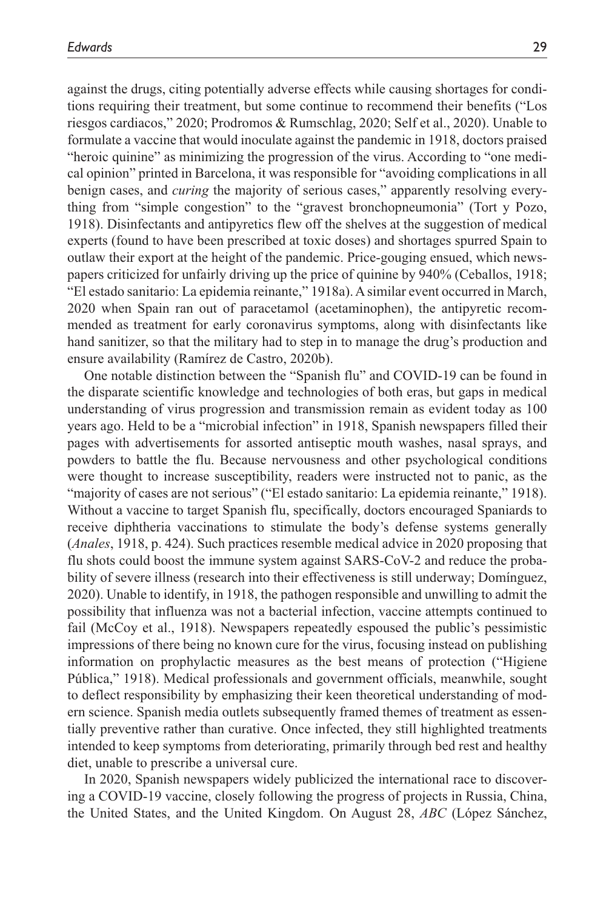against the drugs, citing potentially adverse effects while causing shortages for conditions requiring their treatment, but some continue to recommend their benefits ("Los riesgos cardiacos," 2020; Prodromos & Rumschlag, 2020; Self et al., 2020). Unable to formulate a vaccine that would inoculate against the pandemic in 1918, doctors praised "heroic quinine" as minimizing the progression of the virus. According to "one medical opinion" printed in Barcelona, it was responsible for "avoiding complications in all benign cases, and *curing* the majority of serious cases," apparently resolving everything from "simple congestion" to the "gravest bronchopneumonia" (Tort y Pozo, 1918). Disinfectants and antipyretics flew off the shelves at the suggestion of medical experts (found to have been prescribed at toxic doses) and shortages spurred Spain to outlaw their export at the height of the pandemic. Price-gouging ensued, which newspapers criticized for unfairly driving up the price of quinine by 940% (Ceballos, 1918; "El estado sanitario: La epidemia reinante," 1918a). A similar event occurred in March, 2020 when Spain ran out of paracetamol (acetaminophen), the antipyretic recommended as treatment for early coronavirus symptoms, along with disinfectants like hand sanitizer, so that the military had to step in to manage the drug's production and ensure availability (Ramírez de Castro, 2020b).

One notable distinction between the "Spanish flu" and COVID-19 can be found in the disparate scientific knowledge and technologies of both eras, but gaps in medical understanding of virus progression and transmission remain as evident today as 100 years ago. Held to be a "microbial infection" in 1918, Spanish newspapers filled their pages with advertisements for assorted antiseptic mouth washes, nasal sprays, and powders to battle the flu. Because nervousness and other psychological conditions were thought to increase susceptibility, readers were instructed not to panic, as the "majority of cases are not serious" ("El estado sanitario: La epidemia reinante," 1918). Without a vaccine to target Spanish flu, specifically, doctors encouraged Spaniards to receive diphtheria vaccinations to stimulate the body's defense systems generally (*Anales*, 1918, p. 424). Such practices resemble medical advice in 2020 proposing that flu shots could boost the immune system against SARS-CoV-2 and reduce the probability of severe illness (research into their effectiveness is still underway; Domínguez, 2020). Unable to identify, in 1918, the pathogen responsible and unwilling to admit the possibility that influenza was not a bacterial infection, vaccine attempts continued to fail (McCoy et al., 1918). Newspapers repeatedly espoused the public's pessimistic impressions of there being no known cure for the virus, focusing instead on publishing information on prophylactic measures as the best means of protection ("Higiene Pública," 1918). Medical professionals and government officials, meanwhile, sought to deflect responsibility by emphasizing their keen theoretical understanding of modern science. Spanish media outlets subsequently framed themes of treatment as essentially preventive rather than curative. Once infected, they still highlighted treatments intended to keep symptoms from deteriorating, primarily through bed rest and healthy diet, unable to prescribe a universal cure.

In 2020, Spanish newspapers widely publicized the international race to discovering a COVID-19 vaccine, closely following the progress of projects in Russia, China, the United States, and the United Kingdom. On August 28, *ABC* (López Sánchez,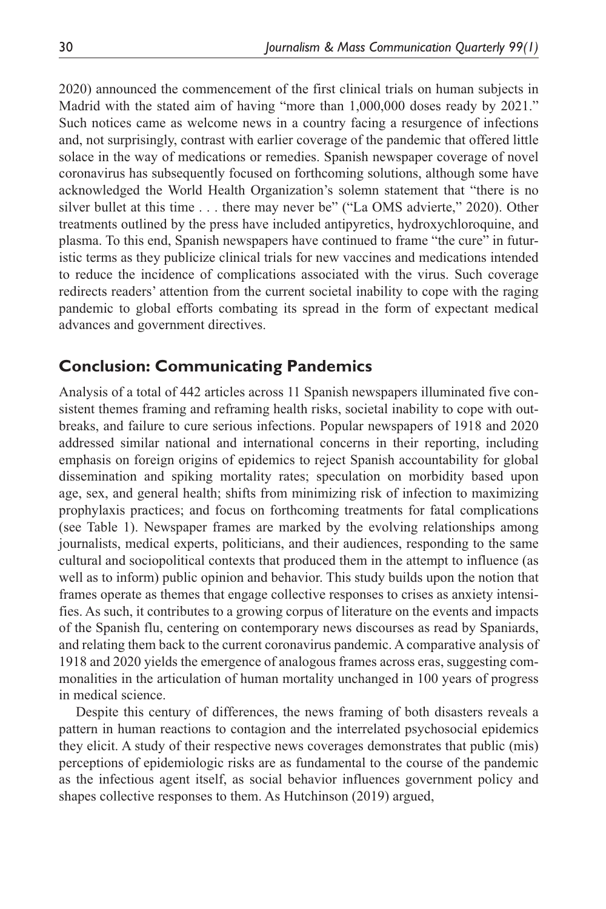2020) announced the commencement of the first clinical trials on human subjects in Madrid with the stated aim of having "more than 1,000,000 doses ready by 2021." Such notices came as welcome news in a country facing a resurgence of infections and, not surprisingly, contrast with earlier coverage of the pandemic that offered little solace in the way of medications or remedies. Spanish newspaper coverage of novel coronavirus has subsequently focused on forthcoming solutions, although some have acknowledged the World Health Organization's solemn statement that "there is no silver bullet at this time . . . there may never be" ("La OMS advierte," 2020). Other treatments outlined by the press have included antipyretics, hydroxychloroquine, and plasma. To this end, Spanish newspapers have continued to frame "the cure" in futuristic terms as they publicize clinical trials for new vaccines and medications intended to reduce the incidence of complications associated with the virus. Such coverage redirects readers' attention from the current societal inability to cope with the raging pandemic to global efforts combating its spread in the form of expectant medical advances and government directives.

### **Conclusion: Communicating Pandemics**

Analysis of a total of 442 articles across 11 Spanish newspapers illuminated five consistent themes framing and reframing health risks, societal inability to cope with outbreaks, and failure to cure serious infections. Popular newspapers of 1918 and 2020 addressed similar national and international concerns in their reporting, including emphasis on foreign origins of epidemics to reject Spanish accountability for global dissemination and spiking mortality rates; speculation on morbidity based upon age, sex, and general health; shifts from minimizing risk of infection to maximizing prophylaxis practices; and focus on forthcoming treatments for fatal complications (see Table 1). Newspaper frames are marked by the evolving relationships among journalists, medical experts, politicians, and their audiences, responding to the same cultural and sociopolitical contexts that produced them in the attempt to influence (as well as to inform) public opinion and behavior. This study builds upon the notion that frames operate as themes that engage collective responses to crises as anxiety intensifies. As such, it contributes to a growing corpus of literature on the events and impacts of the Spanish flu, centering on contemporary news discourses as read by Spaniards, and relating them back to the current coronavirus pandemic. A comparative analysis of 1918 and 2020 yields the emergence of analogous frames across eras, suggesting commonalities in the articulation of human mortality unchanged in 100 years of progress in medical science.

Despite this century of differences, the news framing of both disasters reveals a pattern in human reactions to contagion and the interrelated psychosocial epidemics they elicit. A study of their respective news coverages demonstrates that public (mis) perceptions of epidemiologic risks are as fundamental to the course of the pandemic as the infectious agent itself, as social behavior influences government policy and shapes collective responses to them. As Hutchinson (2019) argued,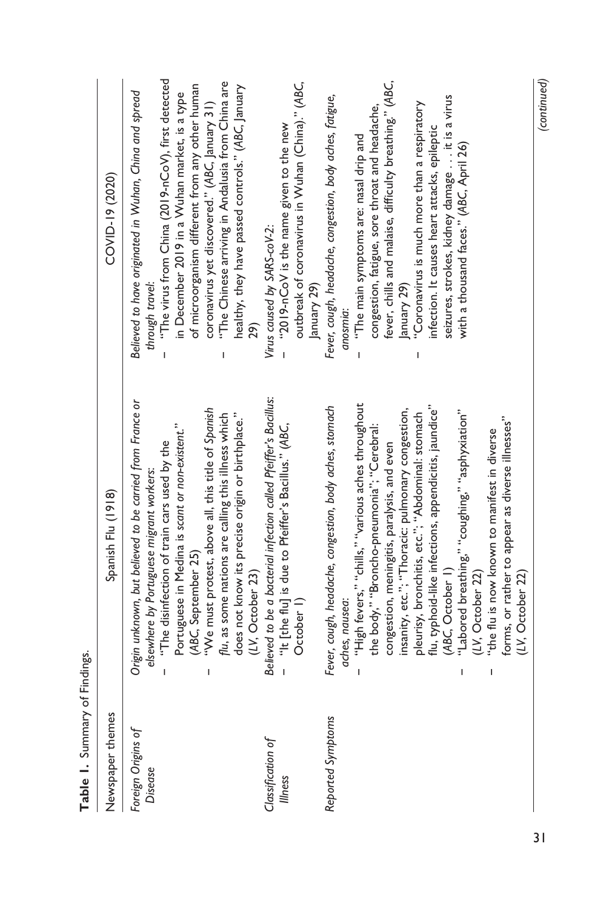| able 1. Summary of Finders.   |                                                                                                                                                                                                                                                                                                                                                                                                                                                                                                                                                                                                                             |                                                                                                                                                                                                                                                                                                                                                                                                                                          |
|-------------------------------|-----------------------------------------------------------------------------------------------------------------------------------------------------------------------------------------------------------------------------------------------------------------------------------------------------------------------------------------------------------------------------------------------------------------------------------------------------------------------------------------------------------------------------------------------------------------------------------------------------------------------------|------------------------------------------------------------------------------------------------------------------------------------------------------------------------------------------------------------------------------------------------------------------------------------------------------------------------------------------------------------------------------------------------------------------------------------------|
| Newspaper themes              | Spanish Flu (1918)                                                                                                                                                                                                                                                                                                                                                                                                                                                                                                                                                                                                          | COVID-19 (2020)                                                                                                                                                                                                                                                                                                                                                                                                                          |
| Foreign Origins of<br>Disease | Origin unknown, but believed to be carried from France or<br>"We must protest, above all, this title of Spanish<br>flu, as some nations are calling this illness which<br>does not know its precise origin or birthplace."<br>Portuguese in Medina is scant or non-existent."<br>"The disinfection of train cars used by the<br>elsewhere by Portuguese migrant workers:<br>(ABC, September 25)<br>(1V, October 23)<br>I<br>$\overline{\phantom{a}}$                                                                                                                                                                        | "The virus from China (2019-nCoV), first detected<br>"The Chinese arriving in Andalusia from China are<br>of microorganism different from any other human<br>healthy, they have passed controls." (ABC, January<br>Believed to have originated in Wuhan, China and spread<br>in December 2019 in a Wuhan market, is a type<br>coronavirus yet discovered." (ABC, January 31)<br>through travel:<br>29)                                   |
| Classification of<br>Illness  | Believed to be a bacterial infection called Pfeiffer's Bacillus:<br>"It [the flu] is due to Pfeiffer's Bacillus." (ABC,<br>October I)<br>$\overline{\phantom{a}}$                                                                                                                                                                                                                                                                                                                                                                                                                                                           | outbreak of coronavirus in Wuhan (China)." (ABC,<br>"2019-nCoV is the name given to the new<br>Virus caused by SARS-coV-2:<br>January 29)<br>$\overline{1}$                                                                                                                                                                                                                                                                              |
| Reported Symptoms             | "High fevers," "chills," "various aches throughout<br>Fever, cough, headache, congestion, body aches, stomach<br>flu, typhoid-like infections, appendicitis, jaundice"<br>insanity, etc."; "Thoracic: pulmonary congestion,<br>"Labored breathing," "coughing," "asphyxiation"<br>pleurisy, bronchitis, etc."; "Abdominal: stomach<br>forms, or rather to appear as diverse illnesses"<br>the body," "Broncho-pneumonia"; "Cerebral:<br>"the flu is now known to manifest in diverse<br>congestion, meningitis, paralysis, and even<br>(ABC, October 1)<br>(LV, October 22)<br>(LV, October 22)<br>aches, nausea:<br>ı<br>ı | fever, chills and malaise, difficulty breathing." (ABC,<br>Fever, cough, headache, congestion, body aches, fatigue,<br>seizures, strokes, kidney damage it is a virus<br>"Coronavirus is much more than a respiratory<br>congestion, fatigue, sore throat and headache,<br>infection. It causes heart attacks, epileptic<br>"The main symptoms are: nasal drip and<br>with a thousand faces." (ABC, April 26)<br>January 29)<br>anosmia: |

Table 1. Summary of Findings. **Table 1.** Summary of Findings.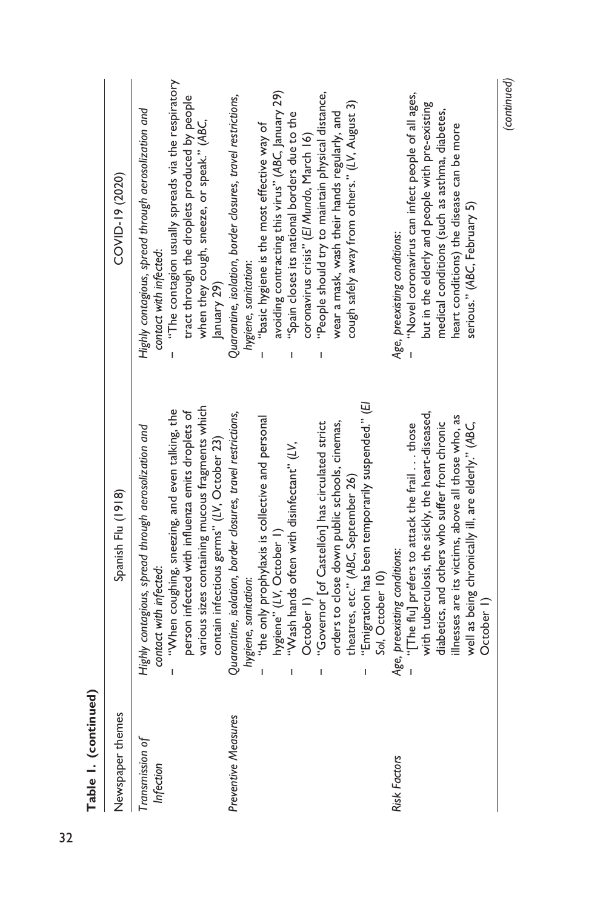| Table I. (continued)         |                                                                                                                                                                                                                                                                                                                                                                                                                                                                                                                                            |                                                                                                                                                                                                                                                                                                                                                                                                                                                                           |
|------------------------------|--------------------------------------------------------------------------------------------------------------------------------------------------------------------------------------------------------------------------------------------------------------------------------------------------------------------------------------------------------------------------------------------------------------------------------------------------------------------------------------------------------------------------------------------|---------------------------------------------------------------------------------------------------------------------------------------------------------------------------------------------------------------------------------------------------------------------------------------------------------------------------------------------------------------------------------------------------------------------------------------------------------------------------|
| Newspaper themes             | Spanish Flu (1918)                                                                                                                                                                                                                                                                                                                                                                                                                                                                                                                         | COVID-19 (2020)                                                                                                                                                                                                                                                                                                                                                                                                                                                           |
| Transmission of<br>Infection | various sizes containing mucous fragments which<br>"When coughing, sneezing, and even talking, the<br>person infected with influenza emits droplets of<br>Highly contagious, spread through aerosolization and<br>contact with infected:                                                                                                                                                                                                                                                                                                   | "The contagion usually spreads via the respiratory<br>tract through the droplets produced by people<br>Highly contagious, spread through aerosolization and<br>when they cough, sneeze, or speak." (ABC,<br>contact with infected:                                                                                                                                                                                                                                        |
| Preventive Measures          | Quarantine, isolation, border closures, travel restrictions,<br>"the only prophylaxis is collective and personal<br>contain infectious germs" (LV, October 23)<br>"Wash hands often with disinfectant" (LV,<br>hygiene" (LV, October 1)<br>hygiene, sanitation:<br>T                                                                                                                                                                                                                                                                       | avoiding contracting this virus" (ABC, January 29)<br>Quarantine, isolation, border closures, travel restrictions,<br>"Spain closes its national borders due to the<br>"basic hygiene is the most effective way of<br>hygiene, sanitation:<br>January 29)                                                                                                                                                                                                                 |
| Risk Factors                 | "Emigration has been temporarily suspended." (El<br>with tuberculosis, the sickly, the heart-diseased,<br>illnesses are its victims, above all those who, as<br>diabetics, and others who suffer from chronic<br>orders to close down public schools, cinemas,<br>"Governor [of Castellón] has circulated strict<br>well as being chronically ill, are elderly." (ABC,<br>"[The flu] prefers to attack the frail  those<br>theatres, etc." (ABC, September 26)<br>Age, preexisting conditions:<br>Sol, October 10)<br>October I)<br>I<br>T | "People should try to maintain physical distance,<br>"Novel coronavirus can infect people of all ages,<br>cough safely away from others." (LV, August 3)<br>but in the elderly and people with pre-existing<br>medical conditions (such as asthma, diabetes,<br>wear a mask, wash their hands regularly, and<br>heart conditions) the disease can be more<br>coronavirus crisis" (El Mundo, March 16)<br>serious." (ABC, February 5)<br>Age, preexisting conditions:<br>ı |
|                              | October 1)                                                                                                                                                                                                                                                                                                                                                                                                                                                                                                                                 | (continued)                                                                                                                                                                                                                                                                                                                                                                                                                                                               |

 $\tilde{t}$ **Table 1. (continued)**  $\ddot{\cdot}$ ×  $\frac{1}{2}$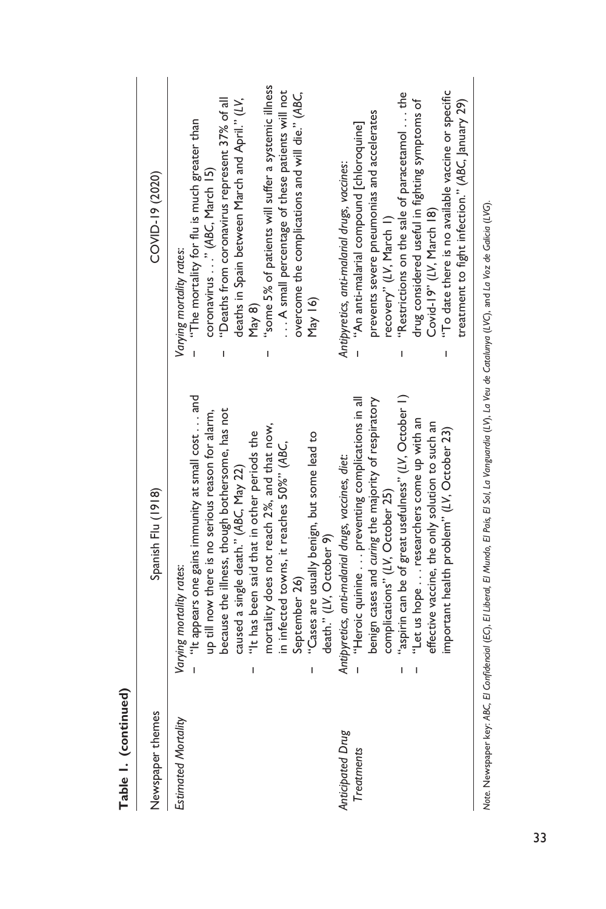| Newspaper themes    | Spanish Flu (1918)                                        | COVID-19 (2020)                                     |
|---------------------|-----------------------------------------------------------|-----------------------------------------------------|
| Estimated Mortality | Varying mortality rates:                                  | Varying mortality rates:                            |
|                     | "It appears one gains immunity at small cost  and         | "The mortality for flu is much greater than         |
|                     | up till now there is no serious reason for alarm,         | coronavirus" (ABC, March 15)                        |
|                     | because the illness, though bothersome, has not           | "Deaths from coronavirus represent 37% of all       |
|                     | caused a single death." (ABC, May 22)                     | deaths in Spain between March and April." (LV,      |
|                     | "It has been said that in other periods the<br>I          | $\frac{8}{10}$                                      |
|                     | mortality does not reach 2%, and that now,                | 'some 5% of patients will suffer a systemic illness |
|                     | in infected towns, it reaches 50%" (ABC,                  | A small percentage of these patients will not       |
|                     | September 26)                                             | overcome the complications and will die." (ABC,     |
|                     | "Cases are usually benign, but some lead to<br>ı          | May  6)                                             |
|                     | death." (LV, October 9)                                   |                                                     |
| Anticipated Drug    | Antipyretics, anti-malarial drugs, vaccines, diet:        | Antipyretics, anti-malarial drugs, vaccines:        |
| Treatments          | "Heroic quinine  preventing complications in all          | "An anti-malarial compound [chloroquine]            |
|                     | benign cases and curing the majority of respiratory       | prevents severe pneumonias and accelerates          |
|                     | complications" (LV, October 25)                           | recovery" (LV, March 1)                             |
|                     | "aspirin can be of great usefulness" (LV, October 1)<br>ı | "Restrictions on the sale of paracetamol the        |
|                     | "Let us hope researchers come up with an                  | drug considered useful in fighting symptoms of      |
|                     | effective vaccine, the only solution to such an           | Covid-19" (LV, March 18)                            |
|                     | important health problem" (LV, October 23)                | "To date there is no available vaccine or specific  |
|                     |                                                           | treatment to fight infection." (ABC, January 29)    |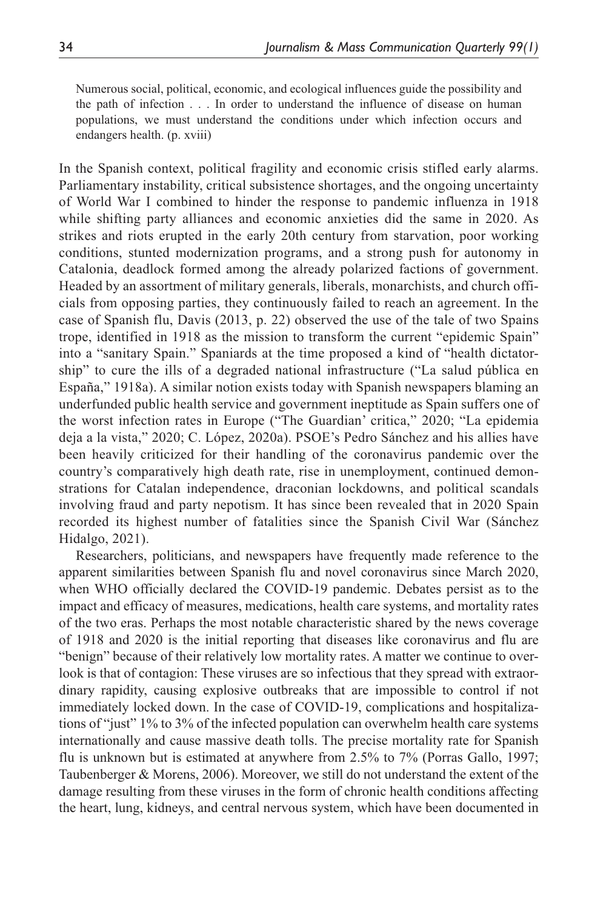Numerous social, political, economic, and ecological influences guide the possibility and the path of infection . . . In order to understand the influence of disease on human populations, we must understand the conditions under which infection occurs and endangers health. (p. xviii)

In the Spanish context, political fragility and economic crisis stifled early alarms. Parliamentary instability, critical subsistence shortages, and the ongoing uncertainty of World War I combined to hinder the response to pandemic influenza in 1918 while shifting party alliances and economic anxieties did the same in 2020. As strikes and riots erupted in the early 20th century from starvation, poor working conditions, stunted modernization programs, and a strong push for autonomy in Catalonia, deadlock formed among the already polarized factions of government. Headed by an assortment of military generals, liberals, monarchists, and church officials from opposing parties, they continuously failed to reach an agreement. In the case of Spanish flu, Davis (2013, p. 22) observed the use of the tale of two Spains trope, identified in 1918 as the mission to transform the current "epidemic Spain" into a "sanitary Spain." Spaniards at the time proposed a kind of "health dictatorship" to cure the ills of a degraded national infrastructure ("La salud pública en España," 1918a). A similar notion exists today with Spanish newspapers blaming an underfunded public health service and government ineptitude as Spain suffers one of the worst infection rates in Europe ("The Guardian' critica," 2020; "La epidemia deja a la vista," 2020; C. López, 2020a). PSOE's Pedro Sánchez and his allies have been heavily criticized for their handling of the coronavirus pandemic over the country's comparatively high death rate, rise in unemployment, continued demonstrations for Catalan independence, draconian lockdowns, and political scandals involving fraud and party nepotism. It has since been revealed that in 2020 Spain recorded its highest number of fatalities since the Spanish Civil War (Sánchez Hidalgo, 2021).

Researchers, politicians, and newspapers have frequently made reference to the apparent similarities between Spanish flu and novel coronavirus since March 2020, when WHO officially declared the COVID-19 pandemic. Debates persist as to the impact and efficacy of measures, medications, health care systems, and mortality rates of the two eras. Perhaps the most notable characteristic shared by the news coverage of 1918 and 2020 is the initial reporting that diseases like coronavirus and flu are "benign" because of their relatively low mortality rates. A matter we continue to overlook is that of contagion: These viruses are so infectious that they spread with extraordinary rapidity, causing explosive outbreaks that are impossible to control if not immediately locked down. In the case of COVID-19, complications and hospitalizations of "just" 1% to 3% of the infected population can overwhelm health care systems internationally and cause massive death tolls. The precise mortality rate for Spanish flu is unknown but is estimated at anywhere from 2.5% to 7% (Porras Gallo, 1997; Taubenberger & Morens, 2006). Moreover, we still do not understand the extent of the damage resulting from these viruses in the form of chronic health conditions affecting the heart, lung, kidneys, and central nervous system, which have been documented in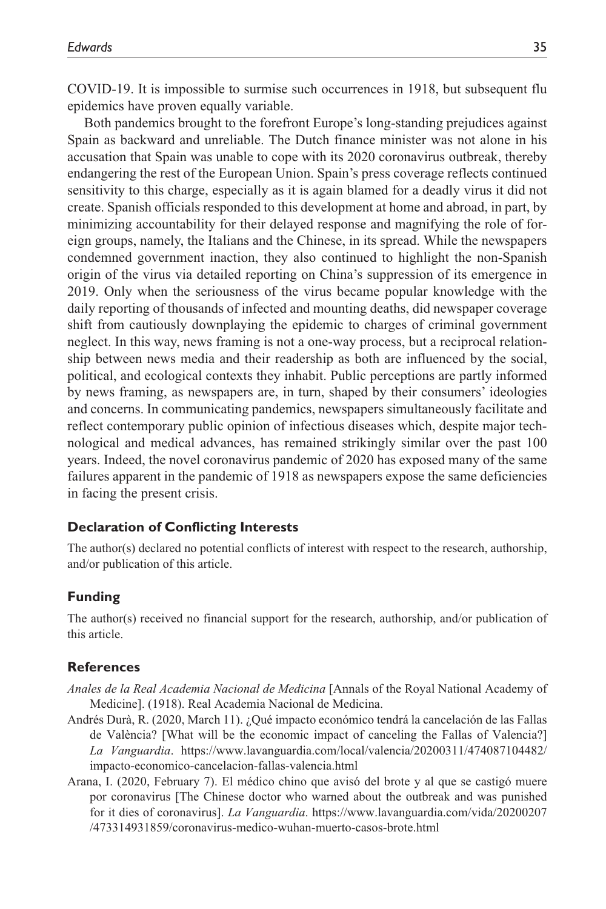COVID-19. It is impossible to surmise such occurrences in 1918, but subsequent flu epidemics have proven equally variable.

Both pandemics brought to the forefront Europe's long-standing prejudices against Spain as backward and unreliable. The Dutch finance minister was not alone in his accusation that Spain was unable to cope with its 2020 coronavirus outbreak, thereby endangering the rest of the European Union. Spain's press coverage reflects continued sensitivity to this charge, especially as it is again blamed for a deadly virus it did not create. Spanish officials responded to this development at home and abroad, in part, by minimizing accountability for their delayed response and magnifying the role of foreign groups, namely, the Italians and the Chinese, in its spread. While the newspapers condemned government inaction, they also continued to highlight the non-Spanish origin of the virus via detailed reporting on China's suppression of its emergence in 2019. Only when the seriousness of the virus became popular knowledge with the daily reporting of thousands of infected and mounting deaths, did newspaper coverage shift from cautiously downplaying the epidemic to charges of criminal government neglect. In this way, news framing is not a one-way process, but a reciprocal relationship between news media and their readership as both are influenced by the social, political, and ecological contexts they inhabit. Public perceptions are partly informed by news framing, as newspapers are, in turn, shaped by their consumers' ideologies and concerns. In communicating pandemics, newspapers simultaneously facilitate and reflect contemporary public opinion of infectious diseases which, despite major technological and medical advances, has remained strikingly similar over the past 100 years. Indeed, the novel coronavirus pandemic of 2020 has exposed many of the same failures apparent in the pandemic of 1918 as newspapers expose the same deficiencies in facing the present crisis.

#### **Declaration of Conflicting Interests**

The author(s) declared no potential conflicts of interest with respect to the research, authorship, and/or publication of this article.

#### **Funding**

The author(s) received no financial support for the research, authorship, and/or publication of this article.

#### **References**

- *Anales de la Real Academia Nacional de Medicina* [Annals of the Royal National Academy of Medicine]. (1918). Real Academia Nacional de Medicina.
- Andrés Durà, R. (2020, March 11). ¿Qué impacto económico tendrá la cancelación de las Fallas de València? [What will be the economic impact of canceling the Fallas of Valencia?] *La Vanguardia*. [https://www.lavanguardia.com/local/valencia/20200311/474087104482/](https://www.lavanguardia.com/local/valencia/20200311/474087104482/impacto-economico-cancelacion-fallas-valencia.html) [impacto-economico-cancelacion-fallas-valencia.html](https://www.lavanguardia.com/local/valencia/20200311/474087104482/impacto-economico-cancelacion-fallas-valencia.html)
- Arana, I. (2020, February 7). El médico chino que avisó del brote y al que se castigó muere por coronavirus [The Chinese doctor who warned about the outbreak and was punished for it dies of coronavirus]. *La Vanguardia*. [https://www.lavanguardia.com/vida/20200207](https://www.lavanguardia.com/vida/20200207/473314931859/coronavirus-medico-wuhan-muerto-casos-brote.html) [/473314931859/coronavirus-medico-wuhan-muerto-casos-brote.html](https://www.lavanguardia.com/vida/20200207/473314931859/coronavirus-medico-wuhan-muerto-casos-brote.html)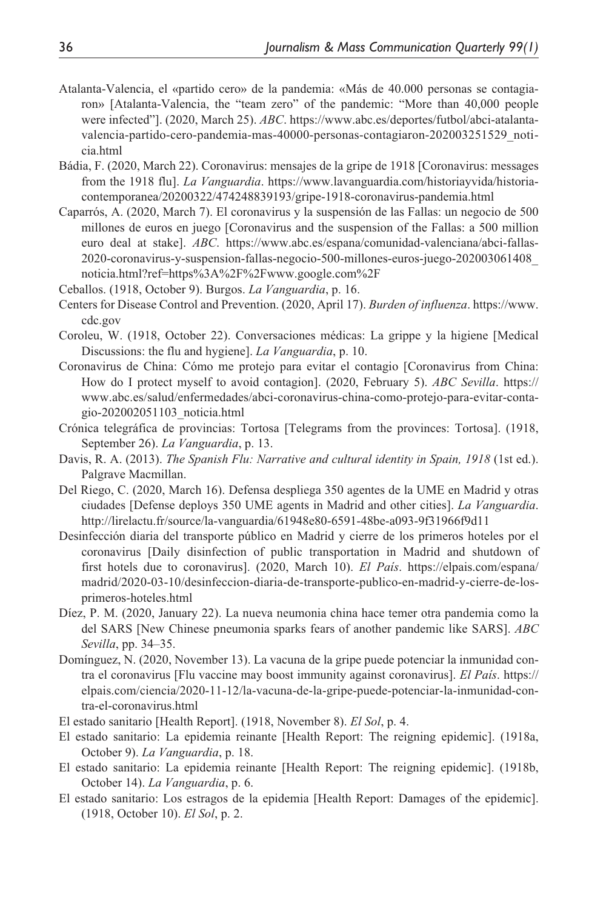- Atalanta-Valencia, el «partido cero» de la pandemia: «Más de 40.000 personas se contagiaron» [Atalanta-Valencia, the "team zero" of the pandemic: "More than 40,000 people were infected"]. (2020, March 25). *ABC*. [https://www.abc.es/deportes/futbol/abci-atalanta](https://www.abc.es/deportes/futbol/abci-atalanta-valencia-partido-cero-pandemia-mas-40000-personas-contagiaron-202003251529_noticia.html)[valencia-partido-cero-pandemia-mas-40000-personas-contagiaron-202003251529\\_noti](https://www.abc.es/deportes/futbol/abci-atalanta-valencia-partido-cero-pandemia-mas-40000-personas-contagiaron-202003251529_noticia.html)[cia.html](https://www.abc.es/deportes/futbol/abci-atalanta-valencia-partido-cero-pandemia-mas-40000-personas-contagiaron-202003251529_noticia.html)
- Bádia, F. (2020, March 22). Coronavirus: mensajes de la gripe de 1918 [Coronavirus: messages from the 1918 flu]. *La Vanguardia*. [https://www.lavanguardia.com/historiayvida/historia](https://www.lavanguardia.com/historiayvida/historia-contemporanea/20200322/474248839193/gripe-1918-coronavirus-pandemia.html)[contemporanea/20200322/474248839193/gripe-1918-coronavirus-pandemia.html](https://www.lavanguardia.com/historiayvida/historia-contemporanea/20200322/474248839193/gripe-1918-coronavirus-pandemia.html)
- Caparrós, A. (2020, March 7). El coronavirus y la suspensión de las Fallas: un negocio de 500 millones de euros en juego [Coronavirus and the suspension of the Fallas: a 500 million euro deal at stake]. *ABC*. [https://www.abc.es/espana/comunidad-valenciana/abci-fallas-](https://www.abc.es/espana/comunidad-valenciana/abci-fallas-2020-coronavirus-y-suspension-fallas-negocio-500-millones-euros-juego-202003061408_noticia.html?ref=https%3A%2F%2Fwww.google.com%2F)[2020-coronavirus-y-suspension-fallas-negocio-500-millones-euros-juego-202003061408\\_](https://www.abc.es/espana/comunidad-valenciana/abci-fallas-2020-coronavirus-y-suspension-fallas-negocio-500-millones-euros-juego-202003061408_noticia.html?ref=https%3A%2F%2Fwww.google.com%2F) [noticia.html?ref=https%3A%2F%2Fwww.google.com%2F](https://www.abc.es/espana/comunidad-valenciana/abci-fallas-2020-coronavirus-y-suspension-fallas-negocio-500-millones-euros-juego-202003061408_noticia.html?ref=https%3A%2F%2Fwww.google.com%2F)
- Ceballos. (1918, October 9). Burgos. *La Vanguardia*, p. 16.
- Centers for Disease Control and Prevention. (2020, April 17). *Burden of influenza*. [https://www.](https://www.cdc.gov) [cdc.gov](https://www.cdc.gov)
- Coroleu, W. (1918, October 22). Conversaciones médicas: La grippe y la higiene [Medical Discussions: the flu and hygiene]. *La Vanguardia*, p. 10.
- Coronavirus de China: Cómo me protejo para evitar el contagio [Coronavirus from China: How do I protect myself to avoid contagion]. (2020, February 5). *ABC Sevilla*. [https://](https://www.abc.es/salud/enfermedades/abci-coronavirus-china-como-protejo-para-evitar-contagio-202002051103_noticia.html) [www.abc.es/salud/enfermedades/abci-coronavirus-china-como-protejo-para-evitar-conta](https://www.abc.es/salud/enfermedades/abci-coronavirus-china-como-protejo-para-evitar-contagio-202002051103_noticia.html)[gio-202002051103\\_noticia.html](https://www.abc.es/salud/enfermedades/abci-coronavirus-china-como-protejo-para-evitar-contagio-202002051103_noticia.html)
- Crónica telegráfica de provincias: Tortosa [Telegrams from the provinces: Tortosa]. (1918, September 26). *La Vanguardia*, p. 13.
- Davis, R. A. (2013). *The Spanish Flu: Narrative and cultural identity in Spain, 1918* (1st ed.). Palgrave Macmillan.
- Del Riego, C. (2020, March 16). Defensa despliega 350 agentes de la UME en Madrid y otras ciudades [Defense deploys 350 UME agents in Madrid and other cities]. *La Vanguardia*. <http://lirelactu.fr/source/la-vanguardia/61948e80-6591-48be-a093-9f31966f9d11>
- Desinfección diaria del transporte público en Madrid y cierre de los primeros hoteles por el coronavirus [Daily disinfection of public transportation in Madrid and shutdown of first hotels due to coronavirus]. (2020, March 10). *El País*. [https://elpais.com/espana/](https://elpais.com/espana/madrid/2020-03-10/desinfeccion-diaria-de-transporte-publico-en-madrid-y-cierre-de-los-primeros-hoteles.html) [madrid/2020-03-10/desinfeccion-diaria-de-transporte-publico-en-madrid-y-cierre-de-los](https://elpais.com/espana/madrid/2020-03-10/desinfeccion-diaria-de-transporte-publico-en-madrid-y-cierre-de-los-primeros-hoteles.html)[primeros-hoteles.html](https://elpais.com/espana/madrid/2020-03-10/desinfeccion-diaria-de-transporte-publico-en-madrid-y-cierre-de-los-primeros-hoteles.html)
- Díez, P. M. (2020, January 22). La nueva neumonia china hace temer otra pandemia como la del SARS [New Chinese pneumonia sparks fears of another pandemic like SARS]. *ABC Sevilla*, pp. 34–35.
- Domínguez, N. (2020, November 13). La vacuna de la gripe puede potenciar la inmunidad contra el coronavirus [Flu vaccine may boost immunity against coronavirus]. *El País*. [https://](https://elpais.com/ciencia/2020-11-12/la-vacuna-de-la-gripe-puede-potenciar-la-inmunidad-contra-el-coronavirus.html) [elpais.com/ciencia/2020-11-12/la-vacuna-de-la-gripe-puede-potenciar-la-inmunidad-con](https://elpais.com/ciencia/2020-11-12/la-vacuna-de-la-gripe-puede-potenciar-la-inmunidad-contra-el-coronavirus.html)[tra-el-coronavirus.html](https://elpais.com/ciencia/2020-11-12/la-vacuna-de-la-gripe-puede-potenciar-la-inmunidad-contra-el-coronavirus.html)
- El estado sanitario [Health Report]. (1918, November 8). *El Sol*, p. 4.
- El estado sanitario: La epidemia reinante [Health Report: The reigning epidemic]. (1918a, October 9). *La Vanguardia*, p. 18.
- El estado sanitario: La epidemia reinante [Health Report: The reigning epidemic]. (1918b, October 14). *La Vanguardia*, p. 6.
- El estado sanitario: Los estragos de la epidemia [Health Report: Damages of the epidemic]. (1918, October 10). *El Sol*, p. 2.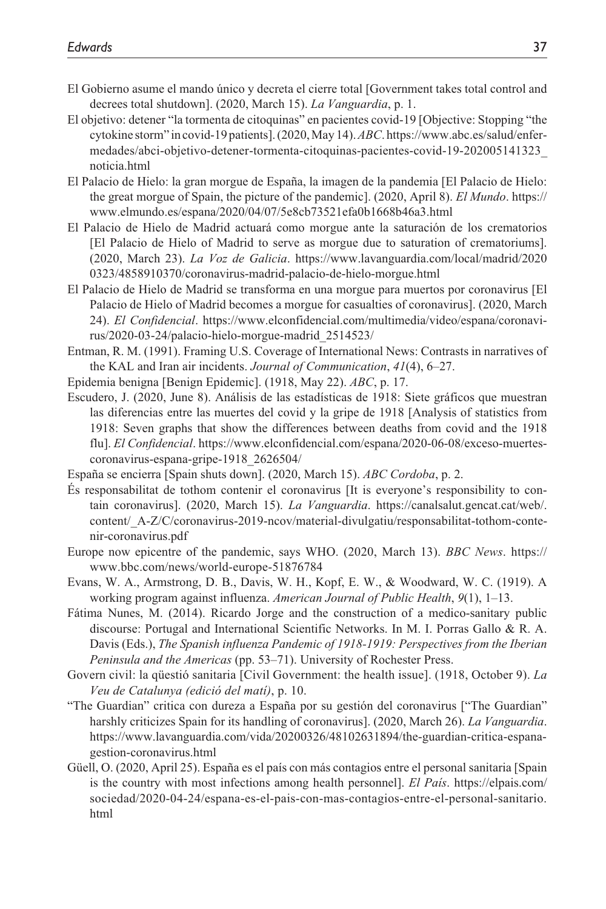- El Gobierno asume el mando único y decreta el cierre total [Government takes total control and decrees total shutdown]. (2020, March 15). *La Vanguardia*, p. 1.
- El objetivo: detener "la tormenta de citoquinas" en pacientes covid-19 [Objective: Stopping "the cytokine storm" in covid-19 patients]. (2020, May 14). *ABC*. [https://www.abc.es/salud/enfer](https://www.abc.es/salud/enfermedades/abci-objetivo-detener-tormenta-citoquinas-pacientes-covid-19-202005141323_noticia.html)[medades/abci-objetivo-detener-tormenta-citoquinas-pacientes-covid-19-202005141323\\_](https://www.abc.es/salud/enfermedades/abci-objetivo-detener-tormenta-citoquinas-pacientes-covid-19-202005141323_noticia.html) [noticia.html](https://www.abc.es/salud/enfermedades/abci-objetivo-detener-tormenta-citoquinas-pacientes-covid-19-202005141323_noticia.html)
- El Palacio de Hielo: la gran morgue de España, la imagen de la pandemia [El Palacio de Hielo: the great morgue of Spain, the picture of the pandemic]. (2020, April 8). *El Mundo*. [https://](https://www.elmundo.es/espana/2020/04/07/5e8cb73521efa0b1668b46a3.html) [www.elmundo.es/espana/2020/04/07/5e8cb73521efa0b1668b46a3.html](https://www.elmundo.es/espana/2020/04/07/5e8cb73521efa0b1668b46a3.html)
- El Palacio de Hielo de Madrid actuará como morgue ante la saturación de los crematorios [El Palacio de Hielo of Madrid to serve as morgue due to saturation of crematoriums]. (2020, March 23). *La Voz de Galicia*. [https://www.lavanguardia.com/local/madrid/2020](https://www.lavanguardia.com/local/madrid/20200323/4858910370/coronavirus-madrid-palacio-de-hielo-morgue.html) [0323/4858910370/coronavirus-madrid-palacio-de-hielo-morgue.html](https://www.lavanguardia.com/local/madrid/20200323/4858910370/coronavirus-madrid-palacio-de-hielo-morgue.html)
- El Palacio de Hielo de Madrid se transforma en una morgue para muertos por coronavirus [El Palacio de Hielo of Madrid becomes a morgue for casualties of coronavirus]. (2020, March 24). *El Confidencial*. [https://www.elconfidencial.com/multimedia/video/espana/coronavi](https://www.elconfidencial.com/multimedia/video/espana/coronavirus/2020-03-24/palacio-hielo-morgue-madrid_2514523/)[rus/2020-03-24/palacio-hielo-morgue-madrid\\_2514523/](https://www.elconfidencial.com/multimedia/video/espana/coronavirus/2020-03-24/palacio-hielo-morgue-madrid_2514523/)
- Entman, R. M. (1991). Framing U.S. Coverage of International News: Contrasts in narratives of the KAL and Iran air incidents. *Journal of Communication*, *41*(4), 6–27.
- Epidemia benigna [Benign Epidemic]. (1918, May 22). *ABC*, p. 17.
- Escudero, J. (2020, June 8). Análisis de las estadísticas de 1918: Siete gráficos que muestran las diferencias entre las muertes del covid y la gripe de 1918 [Analysis of statistics from 1918: Seven graphs that show the differences between deaths from covid and the 1918 flu]. *El Confidencial*. [https://www.elconfidencial.com/espana/2020-06-08/exceso-muertes](https://www.elconfidencial.com/espana/2020-06-08/exceso-muertes-coronavirus-espana-gripe-1918_2626504/)[coronavirus-espana-gripe-1918\\_2626504/](https://www.elconfidencial.com/espana/2020-06-08/exceso-muertes-coronavirus-espana-gripe-1918_2626504/)
- España se encierra [Spain shuts down]. (2020, March 15). *ABC Cordoba*, p. 2.
- És responsabilitat de tothom contenir el coronavirus [It is everyone's responsibility to contain coronavirus]. (2020, March 15). *La Vanguardia*. [https://canalsalut.gencat.cat/web/.](https://canalsalut.gencat.cat/web/.content/_A-Z/C/coronavirus-2019-ncov/material-divulgatiu/responsabilitat-tothom-contenir-coronavirus.pdf) [content/\\_A-Z/C/coronavirus-2019-ncov/material-divulgatiu/responsabilitat-tothom-conte](https://canalsalut.gencat.cat/web/.content/_A-Z/C/coronavirus-2019-ncov/material-divulgatiu/responsabilitat-tothom-contenir-coronavirus.pdf)[nir-coronavirus.pdf](https://canalsalut.gencat.cat/web/.content/_A-Z/C/coronavirus-2019-ncov/material-divulgatiu/responsabilitat-tothom-contenir-coronavirus.pdf)
- Europe now epicentre of the pandemic, says WHO. (2020, March 13). *BBC News*. [https://](https://www.bbc.com/news/world-europe-51876784) [www.bbc.com/news/world-europe-51876784](https://www.bbc.com/news/world-europe-51876784)
- Evans, W. A., Armstrong, D. B., Davis, W. H., Kopf, E. W., & Woodward, W. C. (1919). A working program against influenza. *American Journal of Public Health*, *9*(1), 1–13.
- Fátima Nunes, M. (2014). Ricardo Jorge and the construction of a medico-sanitary public discourse: Portugal and International Scientific Networks. In M. I. Porras Gallo & R. A. Davis (Eds.), *The Spanish influenza Pandemic of 1918-1919: Perspectives from the Iberian Peninsula and the Americas* (pp. 53–71). University of Rochester Press.
- Govern civil: la qüestió sanitaria [Civil Government: the health issue]. (1918, October 9). *La Veu de Catalunya (edició del matí)*, p. 10.
- "The Guardian" critica con dureza a España por su gestión del coronavirus ["The Guardian" harshly criticizes Spain for its handling of coronavirus]. (2020, March 26). *La Vanguardia*. [https://www.lavanguardia.com/vida/20200326/48102631894/the-guardian-critica-espana](https://www.lavanguardia.com/vida/20200326/48102631894/the-guardian-critica-espana-gestion-coronavirus.html)[gestion-coronavirus.html](https://www.lavanguardia.com/vida/20200326/48102631894/the-guardian-critica-espana-gestion-coronavirus.html)
- Güell, O. (2020, April 25). España es el país con más contagios entre el personal sanitaria [Spain is the country with most infections among health personnel]. *El País*. [https://elpais.com/](https://elpais.com/sociedad/2020-04-24/espana-es-el-pais-con-mas-contagios-entre-el-personal-sanitario.html) [sociedad/2020-04-24/espana-es-el-pais-con-mas-contagios-entre-el-personal-sanitario.](https://elpais.com/sociedad/2020-04-24/espana-es-el-pais-con-mas-contagios-entre-el-personal-sanitario.html) [html](https://elpais.com/sociedad/2020-04-24/espana-es-el-pais-con-mas-contagios-entre-el-personal-sanitario.html)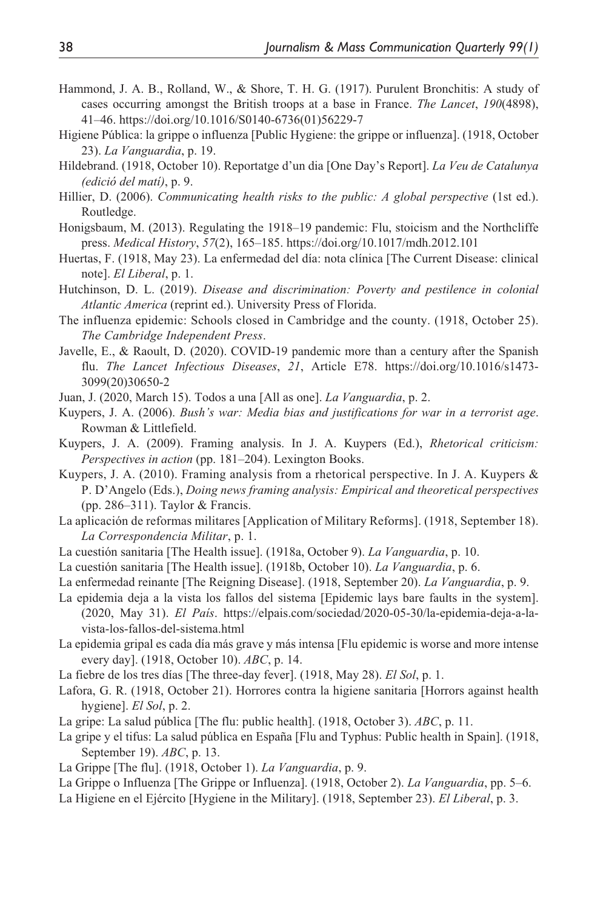- Hammond, J. A. B., Rolland, W., & Shore, T. H. G. (1917). Purulent Bronchitis: A study of cases occurring amongst the British troops at a base in France. *The Lancet*, *190*(4898), 41–46. [https://doi.org/10.1016/S0140-6736\(01\)56229-7](https://doi.org/10.1016/S0140-6736(01)56229-7)
- Higiene Pública: la grippe o influenza [Public Hygiene: the grippe or influenza]. (1918, October 23). *La Vanguardia*, p. 19.
- Hildebrand. (1918, October 10). Reportatge d'un dia [One Day's Report]. *La Veu de Catalunya (edició del matí)*, p. 9.
- Hillier, D. (2006). *Communicating health risks to the public: A global perspective* (1st ed.). Routledge.
- Honigsbaum, M. (2013). Regulating the 1918–19 pandemic: Flu, stoicism and the Northcliffe press. *Medical History*, *57*(2), 165–185.<https://doi.org/10.1017/mdh.2012.101>
- Huertas, F. (1918, May 23). La enfermedad del día: nota clínica [The Current Disease: clinical note]. *El Liberal*, p. 1.
- Hutchinson, D. L. (2019). *Disease and discrimination: Poverty and pestilence in colonial Atlantic America* (reprint ed.). University Press of Florida.
- The influenza epidemic: Schools closed in Cambridge and the county. (1918, October 25). *The Cambridge Independent Press*.
- Javelle, E., & Raoult, D. (2020). COVID-19 pandemic more than a century after the Spanish flu. *The Lancet Infectious Diseases*, *21*, Article E78. [https://doi.org/10.1016/s1473-](https://doi.org/10.1016/s1473-3099(20)30650-2) [3099\(20\)30650-2](https://doi.org/10.1016/s1473-3099(20)30650-2)

Juan, J. (2020, March 15). Todos a una [All as one]. *La Vanguardia*, p. 2.

- Kuypers, J. A. (2006). *Bush's war: Media bias and justifications for war in a terrorist age*. Rowman & Littlefield.
- Kuypers, J. A. (2009). Framing analysis. In J. A. Kuypers (Ed.), *Rhetorical criticism: Perspectives in action* (pp. 181–204). Lexington Books.
- Kuypers, J. A. (2010). Framing analysis from a rhetorical perspective. In J. A. Kuypers & P. D'Angelo (Eds.), *Doing news framing analysis: Empirical and theoretical perspectives* (pp. 286–311). Taylor & Francis.
- La aplicación de reformas militares [Application of Military Reforms]. (1918, September 18). *La Correspondencia Militar*, p. 1.
- La cuestión sanitaria [The Health issue]. (1918a, October 9). *La Vanguardia*, p. 10.
- La cuestión sanitaria [The Health issue]. (1918b, October 10). *La Vanguardia*, p. 6.
- La enfermedad reinante [The Reigning Disease]. (1918, September 20). *La Vanguardia*, p. 9.
- La epidemia deja a la vista los fallos del sistema [Epidemic lays bare faults in the system]. (2020, May 31). *El País*. [https://elpais.com/sociedad/2020-05-30/la-epidemia-deja-a-la](https://elpais.com/sociedad/2020-05-30/la-epidemia-deja-a-la-vista-los-fallos-del-sistema.html)[vista-los-fallos-del-sistema.html](https://elpais.com/sociedad/2020-05-30/la-epidemia-deja-a-la-vista-los-fallos-del-sistema.html)
- La epidemia gripal es cada día más grave y más intensa [Flu epidemic is worse and more intense every day]. (1918, October 10). *ABC*, p. 14.
- La fiebre de los tres días [The three-day fever]. (1918, May 28). *El Sol*, p. 1.
- Lafora, G. R. (1918, October 21). Horrores contra la higiene sanitaria [Horrors against health hygiene]. *El Sol*, p. 2.
- La gripe: La salud pública [The flu: public health]. (1918, October 3). *ABC*, p. 11.
- La gripe y el tifus: La salud pública en España [Flu and Typhus: Public health in Spain]. (1918, September 19). *ABC*, p. 13.
- La Grippe [The flu]. (1918, October 1). *La Vanguardia*, p. 9.
- La Grippe o Influenza [The Grippe or Influenza]. (1918, October 2). *La Vanguardia*, pp. 5–6.
- La Higiene en el Ejército [Hygiene in the Military]. (1918, September 23). *El Liberal*, p. 3.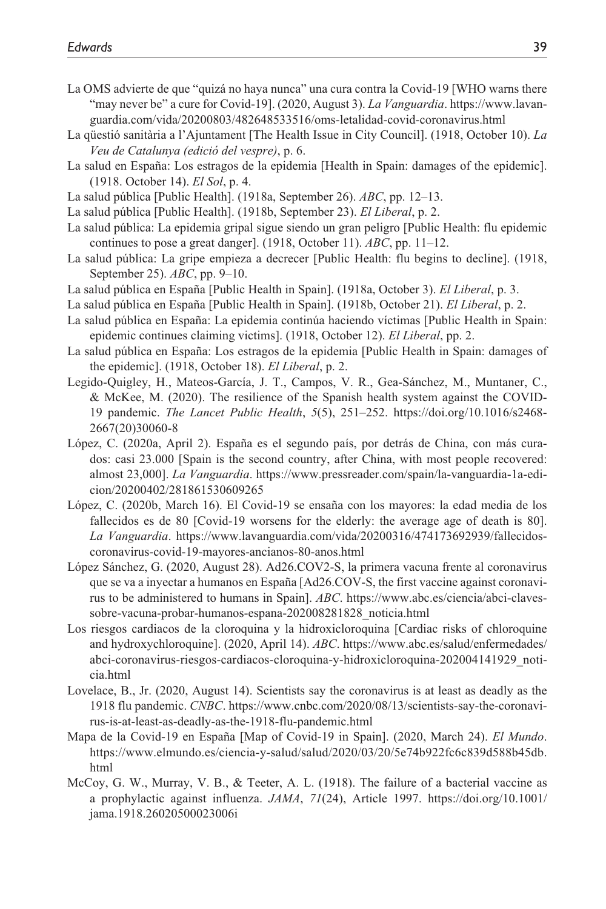- La OMS advierte de que "quizá no haya nunca" una cura contra la Covid-19 [WHO warns there "may never be" a cure for Covid-19]. (2020, August 3). *La Vanguardia*. [https://www.lavan](https://www.lavanguardia.com/vida/20200803/482648533516/oms-letalidad-covid-coronavirus.html)[guardia.com/vida/20200803/482648533516/oms-letalidad-covid-coronavirus.html](https://www.lavanguardia.com/vida/20200803/482648533516/oms-letalidad-covid-coronavirus.html)
- La qüestió sanitària a l'Ajuntament [The Health Issue in City Council]. (1918, October 10). *La Veu de Catalunya (edició del vespre)*, p. 6.
- La salud en España: Los estragos de la epidemia [Health in Spain: damages of the epidemic]. (1918. October 14). *El Sol*, p. 4.
- La salud pública [Public Health]. (1918a, September 26). *ABC*, pp. 12–13.
- La salud pública [Public Health]. (1918b, September 23). *El Liberal*, p. 2.
- La salud pública: La epidemia gripal sigue siendo un gran peligro [Public Health: flu epidemic continues to pose a great danger]. (1918, October 11). *ABC*, pp. 11–12.
- La salud pública: La gripe empieza a decrecer [Public Health: flu begins to decline]. (1918, September 25). *ABC*, pp. 9–10.
- La salud pública en España [Public Health in Spain]. (1918a, October 3). *El Liberal*, p. 3.
- La salud pública en España [Public Health in Spain]. (1918b, October 21). *El Liberal*, p. 2.
- La salud pública en España: La epidemia continúa haciendo víctimas [Public Health in Spain: epidemic continues claiming victims]. (1918, October 12). *El Liberal*, pp. 2.
- La salud pública en España: Los estragos de la epidemia [Public Health in Spain: damages of the epidemic]. (1918, October 18). *El Liberal*, p. 2.
- Legido-Quigley, H., Mateos-García, J. T., Campos, V. R., Gea-Sánchez, M., Muntaner, C., & McKee, M. (2020). The resilience of the Spanish health system against the COVID-19 pandemic. *The Lancet Public Health*, *5*(5), 251–252. [https://doi.org/10.1016/s2468-](https://doi.org/10.1016/s2468-2667(20)30060-8) [2667\(20\)30060-8](https://doi.org/10.1016/s2468-2667(20)30060-8)
- López, C. (2020a, April 2). España es el segundo país, por detrás de China, con más curados: casi 23.000 [Spain is the second country, after China, with most people recovered: almost 23,000]. *La Vanguardia*. [https://www.pressreader.com/spain/la-vanguardia-1a-edi](https://www.pressreader.com/spain/la-vanguardia-1a-edicion/20200402/281861530609265)[cion/20200402/281861530609265](https://www.pressreader.com/spain/la-vanguardia-1a-edicion/20200402/281861530609265)
- López, C. (2020b, March 16). El Covid-19 se ensaña con los mayores: la edad media de los fallecidos es de 80 [Covid-19 worsens for the elderly: the average age of death is 80]. *La Vanguardia*. [https://www.lavanguardia.com/vida/20200316/474173692939/fallecidos](https://www.lavanguardia.com/vida/20200316/474173692939/fallecidos-coronavirus-covid-19-mayores-ancianos-80-anos.html)[coronavirus-covid-19-mayores-ancianos-80-anos.html](https://www.lavanguardia.com/vida/20200316/474173692939/fallecidos-coronavirus-covid-19-mayores-ancianos-80-anos.html)
- López Sánchez, G. (2020, August 28). Ad26.COV2-S, la primera vacuna frente al coronavirus que se va a inyectar a humanos en España [Ad26.COV-S, the first vaccine against coronavirus to be administered to humans in Spain]. *ABC*. [https://www.abc.es/ciencia/abci-claves](https://www.abc.es/ciencia/abci-claves-sobre-vacuna-probar-humanos-espana-202008281828_noticia.html)[sobre-vacuna-probar-humanos-espana-202008281828\\_noticia.html](https://www.abc.es/ciencia/abci-claves-sobre-vacuna-probar-humanos-espana-202008281828_noticia.html)
- Los riesgos cardiacos de la cloroquina y la hidroxicloroquina [Cardiac risks of chloroquine and hydroxychloroquine]. (2020, April 14). *ABC*. [https://www.abc.es/salud/enfermedades/](https://www.abc.es/salud/enfermedades/abci-coronavirus-riesgos-cardiacos-cloroquina-y-hidroxicloroquina-202004141929_noticia.html) [abci-coronavirus-riesgos-cardiacos-cloroquina-y-hidroxicloroquina-202004141929\\_noti](https://www.abc.es/salud/enfermedades/abci-coronavirus-riesgos-cardiacos-cloroquina-y-hidroxicloroquina-202004141929_noticia.html)[cia.html](https://www.abc.es/salud/enfermedades/abci-coronavirus-riesgos-cardiacos-cloroquina-y-hidroxicloroquina-202004141929_noticia.html)
- Lovelace, B., Jr. (2020, August 14). Scientists say the coronavirus is at least as deadly as the 1918 flu pandemic. *CNBC*. [https://www.cnbc.com/2020/08/13/scientists-say-the-coronavi](https://www.cnbc.com/2020/08/13/scientists-say-the-coronavirus-is-at-least-as-deadly-as-the-1918-flu-pandemic.html)[rus-is-at-least-as-deadly-as-the-1918-flu-pandemic.html](https://www.cnbc.com/2020/08/13/scientists-say-the-coronavirus-is-at-least-as-deadly-as-the-1918-flu-pandemic.html)
- Mapa de la Covid-19 en España [Map of Covid-19 in Spain]. (2020, March 24). *El Mundo*. [https://www.elmundo.es/ciencia-y-salud/salud/2020/03/20/5e74b922fc6c839d588b45db.](https://www.elmundo.es/ciencia-y-salud/salud/2020/03/20/5e74b922fc6c839d588b45db.html) [html](https://www.elmundo.es/ciencia-y-salud/salud/2020/03/20/5e74b922fc6c839d588b45db.html)
- McCoy, G. W., Murray, V. B., & Teeter, A. L. (1918). The failure of a bacterial vaccine as a prophylactic against influenza. *JAMA*, *71*(24), Article 1997. [https://doi.org/10.1001/](https://doi.org/10.1001/jama.1918.26020500023006i) [jama.1918.26020500023006i](https://doi.org/10.1001/jama.1918.26020500023006i)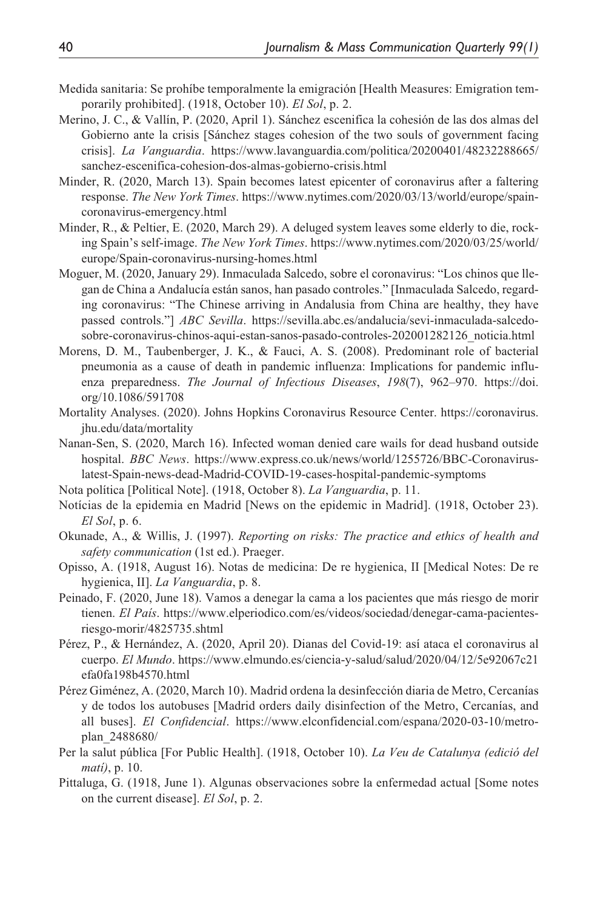- Medida sanitaria: Se prohíbe temporalmente la emigración [Health Measures: Emigration temporarily prohibited]. (1918, October 10). *El Sol*, p. 2.
- Merino, J. C., & Vallín, P. (2020, April 1). Sánchez escenifica la cohesión de las dos almas del Gobierno ante la crisis [Sánchez stages cohesion of the two souls of government facing crisis]. *La Vanguardia*. [https://www.lavanguardia.com/politica/20200401/48232288665/](https://www.lavanguardia.com/politica/20200401/48232288665/sanchez-escenifica-cohesion-dos-almas-gobierno-crisis.html) [sanchez-escenifica-cohesion-dos-almas-gobierno-crisis.html](https://www.lavanguardia.com/politica/20200401/48232288665/sanchez-escenifica-cohesion-dos-almas-gobierno-crisis.html)
- Minder, R. (2020, March 13). Spain becomes latest epicenter of coronavirus after a faltering response. *The New York Times*. [https://www.nytimes.com/2020/03/13/world/europe/spain](https://www.nytimes.com/2020/03/13/world/europe/spain-coronavirus-emergency.html)[coronavirus-emergency.html](https://www.nytimes.com/2020/03/13/world/europe/spain-coronavirus-emergency.html)
- Minder, R., & Peltier, E. (2020, March 29). A deluged system leaves some elderly to die, rocking Spain's self-image. *The New York Times*. [https://www.nytimes.com/2020/03/25/world/](https://www.nytimes.com/2020/03/25/world/europe/Spain-coronavirus-nursing-homes.html) [europe/Spain-coronavirus-nursing-homes.html](https://www.nytimes.com/2020/03/25/world/europe/Spain-coronavirus-nursing-homes.html)
- Moguer, M. (2020, January 29). Inmaculada Salcedo, sobre el coronavirus: "Los chinos que llegan de China a Andalucía están sanos, han pasado controles." [Inmaculada Salcedo, regarding coronavirus: "The Chinese arriving in Andalusia from China are healthy, they have passed controls."] *ABC Sevilla*. [https://sevilla.abc.es/andalucia/sevi-inmaculada-salcedo](https://sevilla.abc.es/andalucia/sevi-inmaculada-salcedo-sobre-coronavirus-chinos-aqui-estan-sanos-pasado-controles-202001282126_noticia.html)[sobre-coronavirus-chinos-aqui-estan-sanos-pasado-controles-202001282126\\_noticia.html](https://sevilla.abc.es/andalucia/sevi-inmaculada-salcedo-sobre-coronavirus-chinos-aqui-estan-sanos-pasado-controles-202001282126_noticia.html)
- Morens, D. M., Taubenberger, J. K., & Fauci, A. S. (2008). Predominant role of bacterial pneumonia as a cause of death in pandemic influenza: Implications for pandemic influenza preparedness. *The Journal of Infectious Diseases*, *198*(7), 962–970. [https://doi.](https://doi.org/10.1086/591708) [org/10.1086/591708](https://doi.org/10.1086/591708)
- Mortality Analyses. (2020). Johns Hopkins Coronavirus Resource Center. [https://coronavirus.](https://coronavirus.jhu.edu/data/mortality) [jhu.edu/data/mortality](https://coronavirus.jhu.edu/data/mortality)
- Nanan-Sen, S. (2020, March 16). Infected woman denied care wails for dead husband outside hospital. *BBC News*. [https://www.express.co.uk/news/world/1255726/BBC-Coronavirus](https://www.express.co.uk/news/world/1255726/BBC-Coronavirus-latest-Spain-news-dead-Madrid-COVID-19-cases-hospital-pandemic-symptoms)[latest-Spain-news-dead-Madrid-COVID-19-cases-hospital-pandemic-symptoms](https://www.express.co.uk/news/world/1255726/BBC-Coronavirus-latest-Spain-news-dead-Madrid-COVID-19-cases-hospital-pandemic-symptoms)
- Nota política [Political Note]. (1918, October 8). *La Vanguardia*, p. 11.
- Notícias de la epidemia en Madrid [News on the epidemic in Madrid]. (1918, October 23). *El Sol*, p. 6.
- Okunade, A., & Willis, J. (1997). *Reporting on risks: The practice and ethics of health and safety communication* (1st ed.). Praeger.
- Opisso, A. (1918, August 16). Notas de medicina: De re hygienica, II [Medical Notes: De re hygienica, II]. *La Vanguardia*, p. 8.
- Peinado, F. (2020, June 18). Vamos a denegar la cama a los pacientes que más riesgo de morir tienen. *El País*. [https://www.elperiodico.com/es/videos/sociedad/denegar-cama-pacientes](https://www.elperiodico.com/es/videos/sociedad/denegar-cama-pacientes-riesgo-morir/4825735.shtml)[riesgo-morir/4825735.shtml](https://www.elperiodico.com/es/videos/sociedad/denegar-cama-pacientes-riesgo-morir/4825735.shtml)
- Pérez, P., & Hernández, A. (2020, April 20). Dianas del Covid-19: así ataca el coronavirus al cuerpo. *El Mundo*. [https://www.elmundo.es/ciencia-y-salud/salud/2020/04/12/5e92067c21](https://www.elmundo.es/ciencia-y-salud/salud/2020/04/12/5e92067c21efa0fa198b4570.html) [efa0fa198b4570.html](https://www.elmundo.es/ciencia-y-salud/salud/2020/04/12/5e92067c21efa0fa198b4570.html)
- Pérez Giménez, A. (2020, March 10). Madrid ordena la desinfección diaria de Metro, Cercanías y de todos los autobuses [Madrid orders daily disinfection of the Metro, Cercanías, and all buses]. *El Confidencial*. [https://www.elconfidencial.com/espana/2020-03-10/metro](https://www.elconfidencial.com/espana/2020-03-10/metro-plan_2488680/)[plan\\_2488680/](https://www.elconfidencial.com/espana/2020-03-10/metro-plan_2488680/)
- Per la salut pública [For Public Health]. (1918, October 10). *La Veu de Catalunya (edició del matí)*, p. 10.
- Pittaluga, G. (1918, June 1). Algunas observaciones sobre la enfermedad actual [Some notes on the current disease]. *El Sol*, p. 2.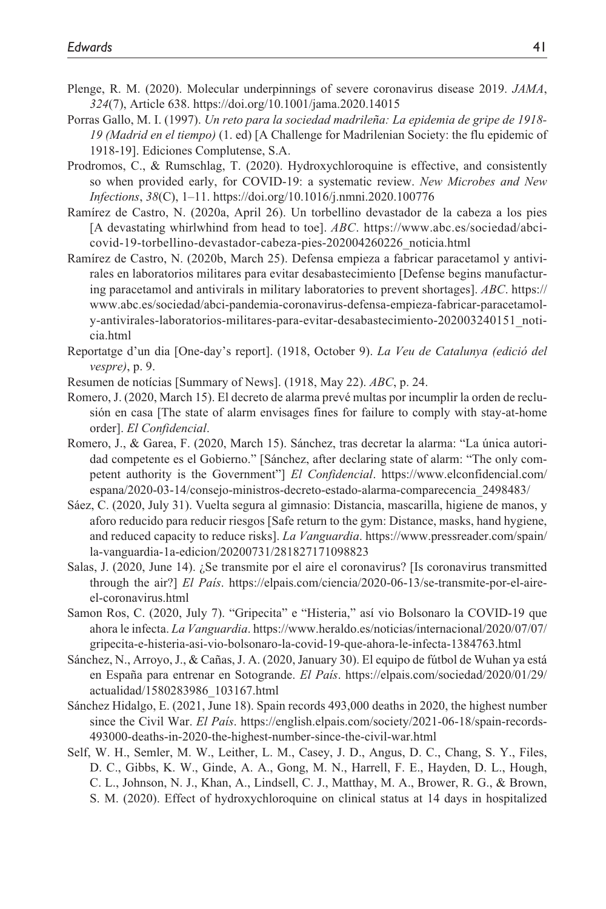- Plenge, R. M. (2020). Molecular underpinnings of severe coronavirus disease 2019. *JAMA*, *324*(7), Article 638. <https://doi.org/10.1001/jama.2020.14015>
- Porras Gallo, M. I. (1997). *Un reto para la sociedad madrileña: La epidemia de gripe de 1918- 19 (Madrid en el tiempo)* (1. ed) [A Challenge for Madrilenian Society: the flu epidemic of 1918-19]. Ediciones Complutense, S.A.
- Prodromos, C., & Rumschlag, T. (2020). Hydroxychloroquine is effective, and consistently so when provided early, for COVID-19: a systematic review. *New Microbes and New Infections*, *38*(C), 1–11. <https://doi.org/10.1016/j.nmni.2020.100776>
- Ramírez de Castro, N. (2020a, April 26). Un torbellino devastador de la cabeza a los pies [A devastating whirlwhind from head to toe]. *ABC*. [https://www.abc.es/sociedad/abci](https://www.abc.es/sociedad/abci-covid-19-torbellino-devastador-cabeza-pies-202004260226_noticia.html)[covid-19-torbellino-devastador-cabeza-pies-202004260226\\_noticia.html](https://www.abc.es/sociedad/abci-covid-19-torbellino-devastador-cabeza-pies-202004260226_noticia.html)
- Ramírez de Castro, N. (2020b, March 25). Defensa empieza a fabricar paracetamol y antivirales en laboratorios militares para evitar desabastecimiento [Defense begins manufacturing paracetamol and antivirals in military laboratories to prevent shortages]. *ABC*. [https://](https://www.abc.es/sociedad/abci-pandemia-coronavirus-defensa-empieza-fabricar-paracetamol-y-antivirales-laboratorios-militares-para-evitar-desabastecimiento-202003240151_noticia.html) [www.abc.es/sociedad/abci-pandemia-coronavirus-defensa-empieza-fabricar-paracetamol](https://www.abc.es/sociedad/abci-pandemia-coronavirus-defensa-empieza-fabricar-paracetamol-y-antivirales-laboratorios-militares-para-evitar-desabastecimiento-202003240151_noticia.html)[y-antivirales-laboratorios-militares-para-evitar-desabastecimiento-202003240151\\_noti](https://www.abc.es/sociedad/abci-pandemia-coronavirus-defensa-empieza-fabricar-paracetamol-y-antivirales-laboratorios-militares-para-evitar-desabastecimiento-202003240151_noticia.html)[cia.html](https://www.abc.es/sociedad/abci-pandemia-coronavirus-defensa-empieza-fabricar-paracetamol-y-antivirales-laboratorios-militares-para-evitar-desabastecimiento-202003240151_noticia.html)
- Reportatge d'un dia [One-day's report]. (1918, October 9). *La Veu de Catalunya (edició del vespre)*, p. 9.
- Resumen de notícias [Summary of News]. (1918, May 22). *ABC*, p. 24.
- Romero, J. (2020, March 15). El decreto de alarma prevé multas por incumplir la orden de reclusión en casa [The state of alarm envisages fines for failure to comply with stay-at-home order]. *El Confidencial*.
- Romero, J., & Garea, F. (2020, March 15). Sánchez, tras decretar la alarma: "La única autoridad competente es el Gobierno." [Sánchez, after declaring state of alarm: "The only competent authority is the Government"] *El Confidencial*. [https://www.elconfidencial.com/](https://www.elconfidencial.com/espana/2020-03-14/consejo-ministros-decreto-estado-alarma-comparecencia_2498483/) [espana/2020-03-14/consejo-ministros-decreto-estado-alarma-comparecencia\\_2498483/](https://www.elconfidencial.com/espana/2020-03-14/consejo-ministros-decreto-estado-alarma-comparecencia_2498483/)
- Sáez, C. (2020, July 31). Vuelta segura al gimnasio: Distancia, mascarilla, higiene de manos, y aforo reducido para reducir riesgos [Safe return to the gym: Distance, masks, hand hygiene, and reduced capacity to reduce risks]. *La Vanguardia*. [https://www.pressreader.com/spain/](https://www.pressreader.com/spain/la-vanguardia-1a-edicion/20200731/281827171098823) [la-vanguardia-1a-edicion/20200731/281827171098823](https://www.pressreader.com/spain/la-vanguardia-1a-edicion/20200731/281827171098823)
- Salas, J. (2020, June 14). ¿Se transmite por el aire el coronavirus? [Is coronavirus transmitted through the air?] *El País*. [https://elpais.com/ciencia/2020-06-13/se-transmite-por-el-aire](https://elpais.com/ciencia/2020-06-13/se-transmite-por-el-aire-el-coronavirus.html)[el-coronavirus.html](https://elpais.com/ciencia/2020-06-13/se-transmite-por-el-aire-el-coronavirus.html)
- Samon Ros, C. (2020, July 7). "Gripecita" e "Histeria," así vio Bolsonaro la COVID-19 que ahora le infecta. *La Vanguardia*. [https://www.heraldo.es/noticias/internacional/2020/07/07/](https://www.heraldo.es/noticias/internacional/2020/07/07/gripecita-e-histeria-asi-vio-bolsonaro-la-covid-19-que-ahora-le-infecta-1384763.html) [gripecita-e-histeria-asi-vio-bolsonaro-la-covid-19-que-ahora-le-infecta-1384763.html](https://www.heraldo.es/noticias/internacional/2020/07/07/gripecita-e-histeria-asi-vio-bolsonaro-la-covid-19-que-ahora-le-infecta-1384763.html)
- Sánchez, N., Arroyo, J., & Cañas, J. A. (2020, January 30). El equipo de fútbol de Wuhan ya está en España para entrenar en Sotogrande. *El País*. [https://elpais.com/sociedad/2020/01/29/](https://elpais.com/sociedad/2020/01/29/actualidad/1580283986_103167.html) [actualidad/1580283986\\_103167.html](https://elpais.com/sociedad/2020/01/29/actualidad/1580283986_103167.html)
- Sánchez Hidalgo, E. (2021, June 18). Spain records 493,000 deaths in 2020, the highest number since the Civil War. *El País*. [https://english.elpais.com/society/2021-06-18/spain-records-](https://english.elpais.com/society/2021-06-18/spain-records-493000-deaths-in-2020-the-highest-number-since-the-civil-war.html)[493000-deaths-in-2020-the-highest-number-since-the-civil-war.html](https://english.elpais.com/society/2021-06-18/spain-records-493000-deaths-in-2020-the-highest-number-since-the-civil-war.html)
- Self, W. H., Semler, M. W., Leither, L. M., Casey, J. D., Angus, D. C., Chang, S. Y., Files, D. C., Gibbs, K. W., Ginde, A. A., Gong, M. N., Harrell, F. E., Hayden, D. L., Hough, C. L., Johnson, N. J., Khan, A., Lindsell, C. J., Matthay, M. A., Brower, R. G., & Brown, S. M. (2020). Effect of hydroxychloroquine on clinical status at 14 days in hospitalized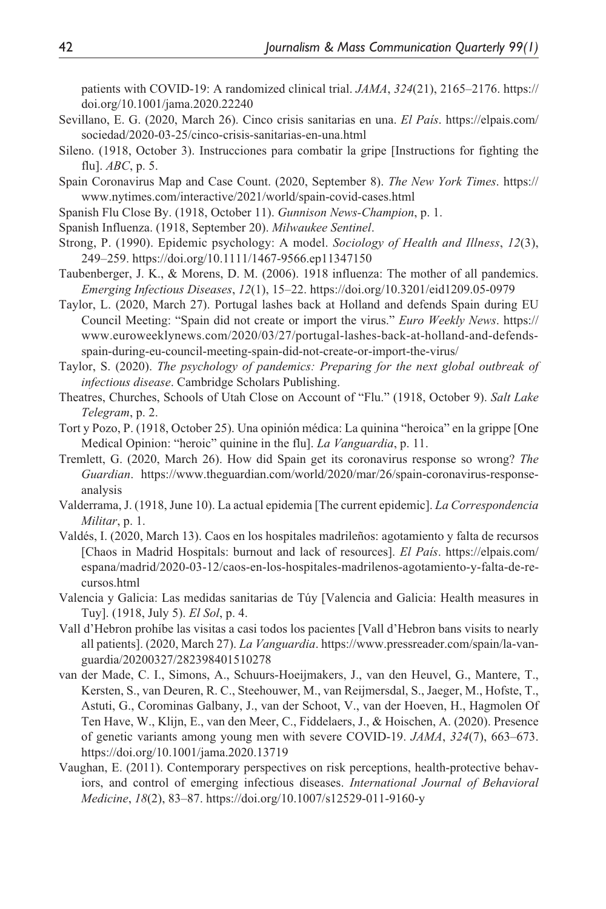patients with COVID-19: A randomized clinical trial. *JAMA*, *324*(21), 2165–2176. [https://](https://doi.org/10.1001/jama.2020.22240) [doi.org/10.1001/jama.2020.22240](https://doi.org/10.1001/jama.2020.22240)

- Sevillano, E. G. (2020, March 26). Cinco crisis sanitarias en una. *El País*. [https://elpais.com/](https://elpais.com/sociedad/2020-03-25/cinco-crisis-sanitarias-en-una.html) [sociedad/2020-03-25/cinco-crisis-sanitarias-en-una.html](https://elpais.com/sociedad/2020-03-25/cinco-crisis-sanitarias-en-una.html)
- Sileno. (1918, October 3). Instrucciones para combatir la gripe [Instructions for fighting the flu]. *ABC*, p. 5.
- Spain Coronavirus Map and Case Count. (2020, September 8). *The New York Times*. [https://](https://www.nytimes.com/interactive/2021/world/spain-covid-cases.html) [www.nytimes.com/interactive/2021/world/spain-covid-cases.html](https://www.nytimes.com/interactive/2021/world/spain-covid-cases.html)
- Spanish Flu Close By. (1918, October 11). *Gunnison News-Champion*, p. 1.
- Spanish Influenza. (1918, September 20). *Milwaukee Sentinel*.
- Strong, P. (1990). Epidemic psychology: A model. *Sociology of Health and Illness*, *12*(3), 249–259.<https://doi.org/10.1111/1467-9566.ep11347150>
- Taubenberger, J. K., & Morens, D. M. (2006). 1918 influenza: The mother of all pandemics. *Emerging Infectious Diseases*, *12*(1), 15–22. <https://doi.org/10.3201/eid1209.05-0979>
- Taylor, L. (2020, March 27). Portugal lashes back at Holland and defends Spain during EU Council Meeting: "Spain did not create or import the virus." *Euro Weekly News*. [https://](https://www.euroweeklynews.com/2020/03/27/portugal-lashes-back-at-holland-and-defends-spain-during-eu-council-meeting-spain-did-not-create-or-import-the-virus/) [www.euroweeklynews.com/2020/03/27/portugal-lashes-back-at-holland-and-defends](https://www.euroweeklynews.com/2020/03/27/portugal-lashes-back-at-holland-and-defends-spain-during-eu-council-meeting-spain-did-not-create-or-import-the-virus/)[spain-during-eu-council-meeting-spain-did-not-create-or-import-the-virus/](https://www.euroweeklynews.com/2020/03/27/portugal-lashes-back-at-holland-and-defends-spain-during-eu-council-meeting-spain-did-not-create-or-import-the-virus/)
- Taylor, S. (2020). *The psychology of pandemics: Preparing for the next global outbreak of infectious disease*. Cambridge Scholars Publishing.
- Theatres, Churches, Schools of Utah Close on Account of "Flu." (1918, October 9). *Salt Lake Telegram*, p. 2.
- Tort y Pozo, P. (1918, October 25). Una opinión médica: La quinina "heroica" en la grippe [One Medical Opinion: "heroic" quinine in the flu]. *La Vanguardia*, p. 11.
- Tremlett, G. (2020, March 26). How did Spain get its coronavirus response so wrong? *The Guardian*. [https://www.theguardian.com/world/2020/mar/26/spain-coronavirus-response](https://www.theguardian.com/world/2020/mar/26/spain-coronavirus-response-analysis)[analysis](https://www.theguardian.com/world/2020/mar/26/spain-coronavirus-response-analysis)
- Valderrama, J. (1918, June 10). La actual epidemia [The current epidemic]. *La Correspondencia Militar*, p. 1.
- Valdés, I. (2020, March 13). Caos en los hospitales madrileños: agotamiento y falta de recursos [Chaos in Madrid Hospitals: burnout and lack of resources]. *El País*. [https://elpais.com/](https://elpais.com/espana/madrid/2020-03-12/caos-en-los-hospitales-madrilenos-agotamiento-y-falta-de-recursos.html) [espana/madrid/2020-03-12/caos-en-los-hospitales-madrilenos-agotamiento-y-falta-de-re](https://elpais.com/espana/madrid/2020-03-12/caos-en-los-hospitales-madrilenos-agotamiento-y-falta-de-recursos.html)[cursos.html](https://elpais.com/espana/madrid/2020-03-12/caos-en-los-hospitales-madrilenos-agotamiento-y-falta-de-recursos.html)
- Valencia y Galicia: Las medidas sanitarias de Túy [Valencia and Galicia: Health measures in Tuy]. (1918, July 5). *El Sol*, p. 4.
- Vall d'Hebron prohíbe las visitas a casi todos los pacientes [Vall d'Hebron bans visits to nearly all patients]. (2020, March 27). *La Vanguardia*. [https://www.pressreader.com/spain/la-van](https://www.pressreader.com/spain/la-vanguardia/20200327/282398401510278)[guardia/20200327/282398401510278](https://www.pressreader.com/spain/la-vanguardia/20200327/282398401510278)
- van der Made, C. I., Simons, A., Schuurs-Hoeijmakers, J., van den Heuvel, G., Mantere, T., Kersten, S., van Deuren, R. C., Steehouwer, M., van Reijmersdal, S., Jaeger, M., Hofste, T., Astuti, G., Corominas Galbany, J., van der Schoot, V., van der Hoeven, H., Hagmolen Of Ten Have, W., Klijn, E., van den Meer, C., Fiddelaers, J., & Hoischen, A. (2020). Presence of genetic variants among young men with severe COVID-19. *JAMA*, *324*(7), 663–673. <https://doi.org/10.1001/jama.2020.13719>
- Vaughan, E. (2011). Contemporary perspectives on risk perceptions, health-protective behaviors, and control of emerging infectious diseases. *International Journal of Behavioral Medicine*, *18*(2), 83–87. <https://doi.org/10.1007/s12529-011-9160-y>